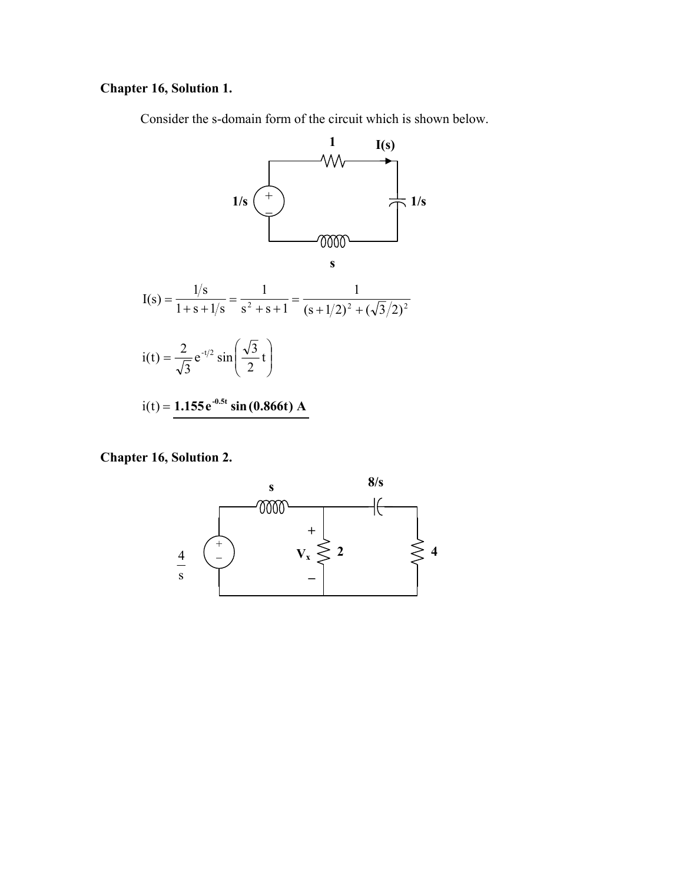### **Chapter 16, Solution 1.**

Consider the s-domain form of the circuit which is shown below.



**Chapter 16, Solution 2.** 

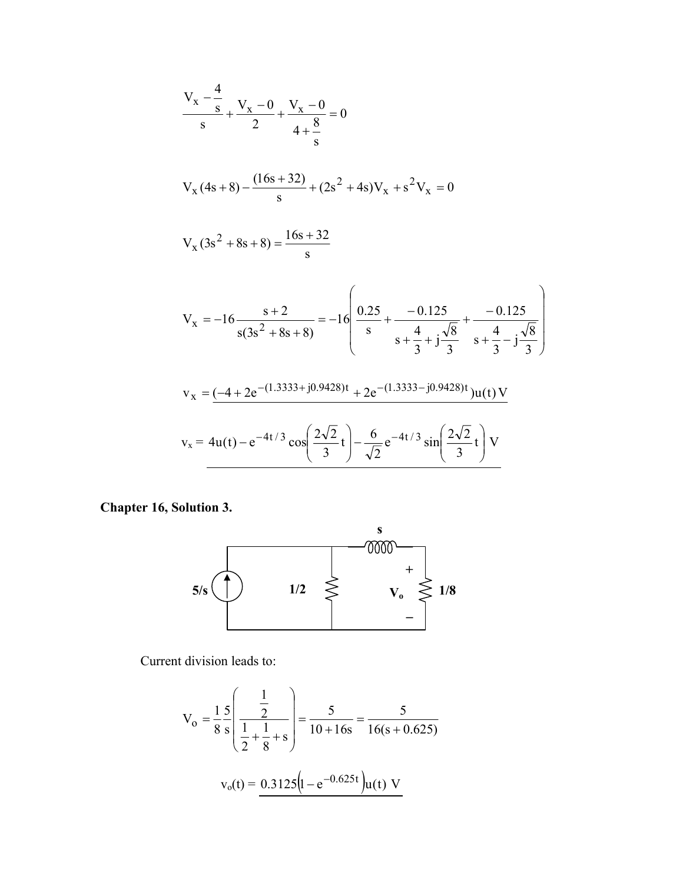$$
\frac{V_x - \frac{4}{s}}{s} + \frac{V_x - 0}{2} + \frac{V_x - 0}{4 + \frac{8}{s}} = 0
$$
  

$$
V_x (4s + 8) - \frac{(16s + 32)}{s} + (2s^2 + 4s)V_x + s^2V_x = 0
$$
  

$$
V_x (3s^2 + 8s + 8) = \frac{16s + 32}{s}
$$
  

$$
V_x = -16 \frac{s + 2}{s(3s^2 + 8s + 8)} = -16 \left( \frac{0.25}{s} + \frac{-0.125}{s + \frac{4}{3} + j\frac{\sqrt{8}}{3}} + \frac{-0.125}{s + \frac{4}{3} - j\frac{\sqrt{8}}{3}} \right)
$$
  

$$
v_x = \frac{(-4 + 2e^{-(1.3333 + j0.9428)t} + 2e^{-(1.3333 - j0.9428)t})u(t)V}{s + 4u(t) - e^{-4t/3} \cos\left(\frac{2\sqrt{2}}{3}t\right) - \frac{6}{\sqrt{2}}e^{-4t/3} \sin\left(\frac{2\sqrt{2}}{3}t\right)V
$$

**Chapter 16, Solution 3.** 



Current division leads to:

$$
V_o = \frac{1}{8} \frac{5}{s} \left( \frac{\frac{1}{2}}{\frac{1}{2} + \frac{1}{8} + s} \right) = \frac{5}{10 + 16s} = \frac{5}{16(s + 0.625)}
$$

$$
v_o(t) = \frac{0.3125 \left(1 - e^{-0.625t}\right) u(t) V}{s}
$$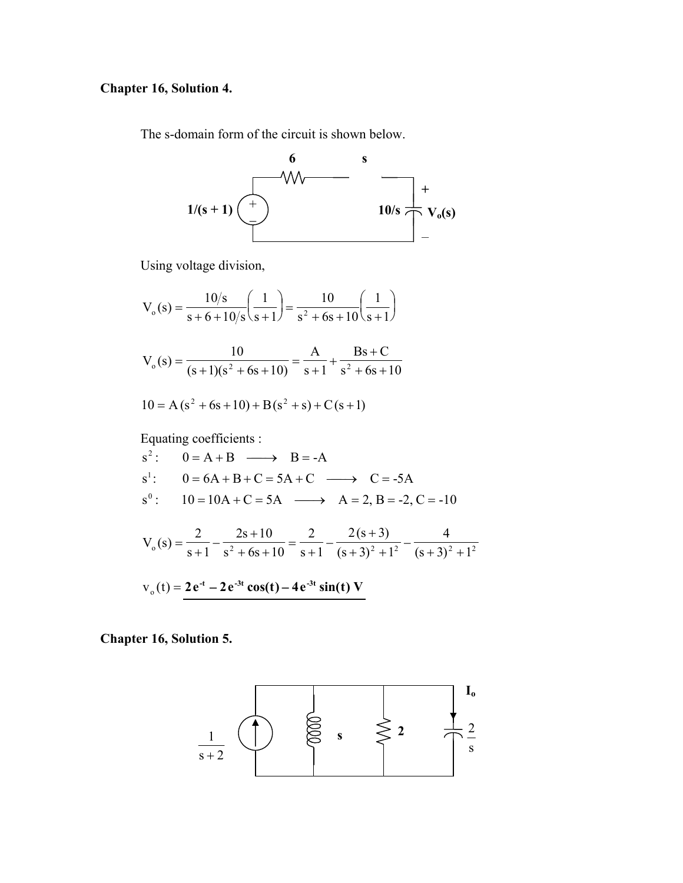### **Chapter 16, Solution 4.**

The s-domain form of the circuit is shown below.



Using voltage division,

$$
V_o(s) = \frac{10/s}{s + 6 + 10/s} \left(\frac{1}{s + 1}\right) = \frac{10}{s^2 + 6s + 10} \left(\frac{1}{s + 1}\right)
$$
  
\n
$$
V_o(s) = \frac{10}{(s + 1)(s^2 + 6s + 10)} = \frac{A}{s + 1} + \frac{Bs + C}{s^2 + 6s + 10}
$$
  
\n
$$
10 = A(s^2 + 6s + 10) + B(s^2 + s) + C(s + 1)
$$
  
\nEquating coefficients :  
\n
$$
s^2: 0 = A + B \longrightarrow B = -A
$$
  
\n
$$
s^1: 0 = 6A + B + C = 5A + C \longrightarrow C = -5A
$$
  
\n
$$
s^0: 10 = 10A + C = 5A \longrightarrow A = 2, B = -2, C = -10
$$
  
\n
$$
V_o(s) = \frac{2}{s + 1} - \frac{2s + 10}{s^2 + 6s + 10} = \frac{2}{s + 1} - \frac{2(s + 3)}{(s + 3)^2 + 1^2} - \frac{4}{(s + 3)^2 + 1^2}
$$

$$
v_0(t) = 2e^{-t} - 2e^{-3t}\cos(t) - 4e^{-3t}\sin(t)V
$$

**Chapter 16, Solution 5.** 

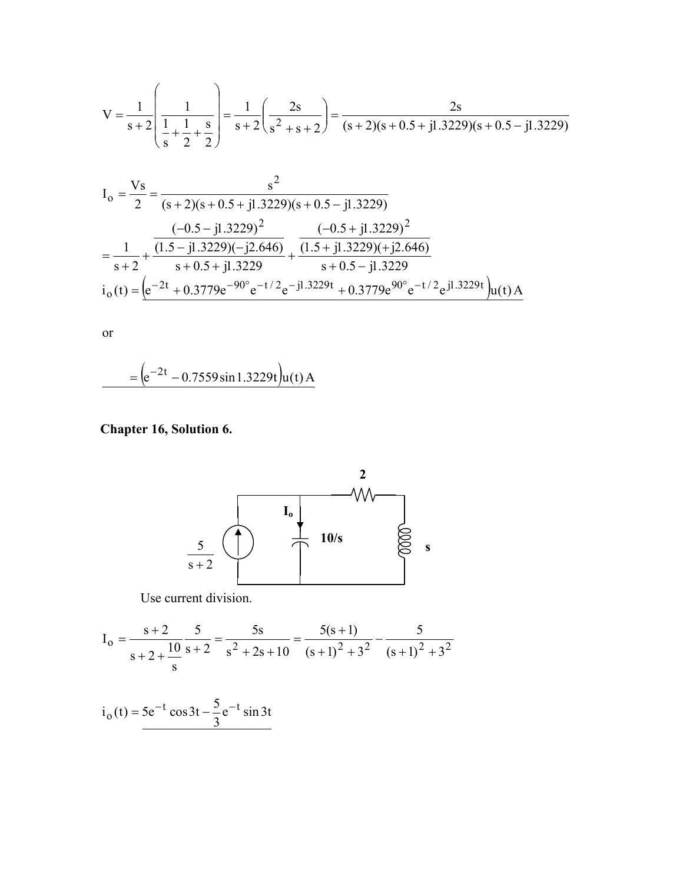$$
V = \frac{1}{s+2} \left( \frac{1}{\frac{1}{s} + \frac{1}{2} + \frac{s}{2}} \right) = \frac{1}{s+2} \left( \frac{2s}{s^2 + s + 2} \right) = \frac{2s}{(s+2)(s+0.5+j1.3229)(s+0.5-j1.3229)}
$$

$$
I_0 = \frac{Vs}{2} = \frac{s^2}{(s+2)(s+0.5+j1.3229)(s+0.5-j1.3229)}
$$
  
=  $\frac{1}{s+2} + \frac{(1.5-j1.3229)(-j2.646)}{s+0.5+j1.3229} + \frac{(1.5+j1.3229)(+j2.646)}{s+0.5-j1.3229}$   

$$
i_0(t) = (e^{-2t} + 0.3779e^{-90^\circ}e^{-t/2}e^{-j1.3229t} + 0.3779e^{90^\circ}e^{-t/2}e^{j1.3229t})u(t)A
$$

 $\overline{\text{or}}$ 

$$
= (e^{-2t} - 0.7559 \sin 1.3229t)u(t) A
$$

Chapter 16, Solution 6.



Use current division.

$$
I_0 = \frac{s+2}{s+2+ \frac{10}{s}} \frac{5}{s+2} = \frac{5s}{s^2+2s+10} = \frac{5(s+1)}{(s+1)^2+3^2} - \frac{5}{(s+1)^2+3^2}
$$

 $i_0(t) = 5e^{-t} \cos 3t - \frac{5}{3}e^{-t} \sin 3t$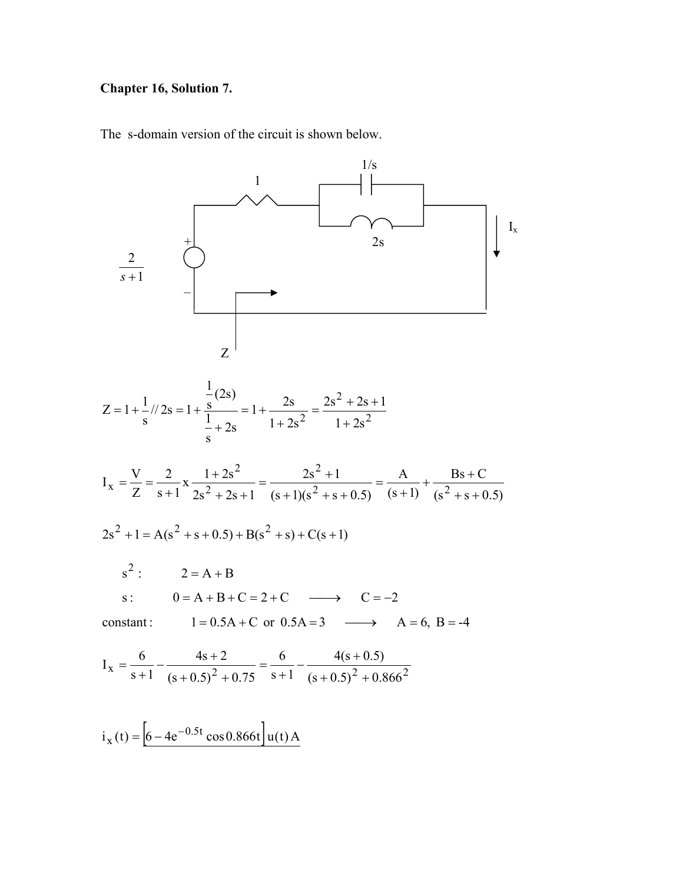#### **Chapter 16, Solution 7.**

The s-domain version of the circuit is shown below.



 $i_x(t) = \left[6 - 4e^{-0.5t} \cos 0.866t\right] u(t) A$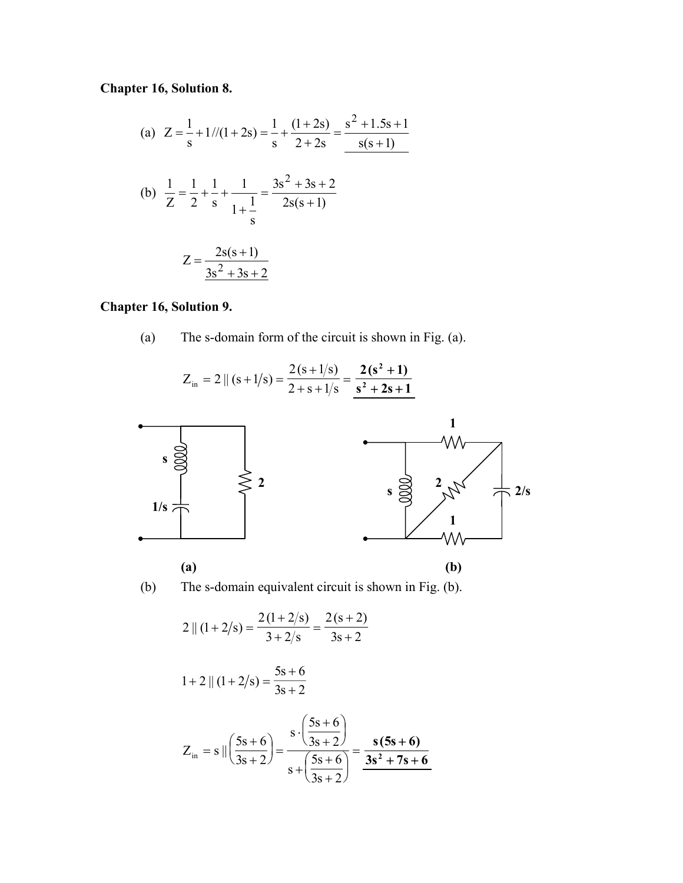## **Chapter 16, Solution 8.**

(a) 
$$
Z = \frac{1}{s} + \frac{1}{1 + 2s} = \frac{1}{s} + \frac{(1+2s)}{2+2s} = \frac{s^2 + 1.5s + 1}{s(s+1)}
$$
  
\n(b)  $\frac{1}{Z} = \frac{1}{2} + \frac{1}{s} + \frac{1}{1 + \frac{1}{s}} = \frac{3s^2 + 3s + 2}{2s(s+1)}$   
\n $Z = \frac{2s(s+1)}{3s^2 + 3s + 2}$ 

### **Chapter 16, Solution 9.**

(a) The s-domain form of the circuit is shown in Fig. (a).

$$
Z_{\text{in}} = 2 \| (s + 1/s) = \frac{2(s + 1/s)}{2 + s + 1/s} = \frac{2(s^2 + 1)}{s^2 + 2s + 1}
$$





$$
2 || (1 + 2/s) = \frac{2(1 + 2/s)}{3 + 2/s} = \frac{2(s + 2)}{3s + 2}
$$

$$
1 + 2 || (1 + 2/s) = \frac{5s + 6}{3s + 2}
$$

$$
Z_{in} = s || \left(\frac{5s + 6}{3s + 2}\right) = \frac{s \cdot \left(\frac{5s + 6}{3s + 2}\right)}{s + \left(\frac{5s + 6}{3s + 2}\right)} = \frac{s(5s + 6)}{3s^2 + 7s + 6}
$$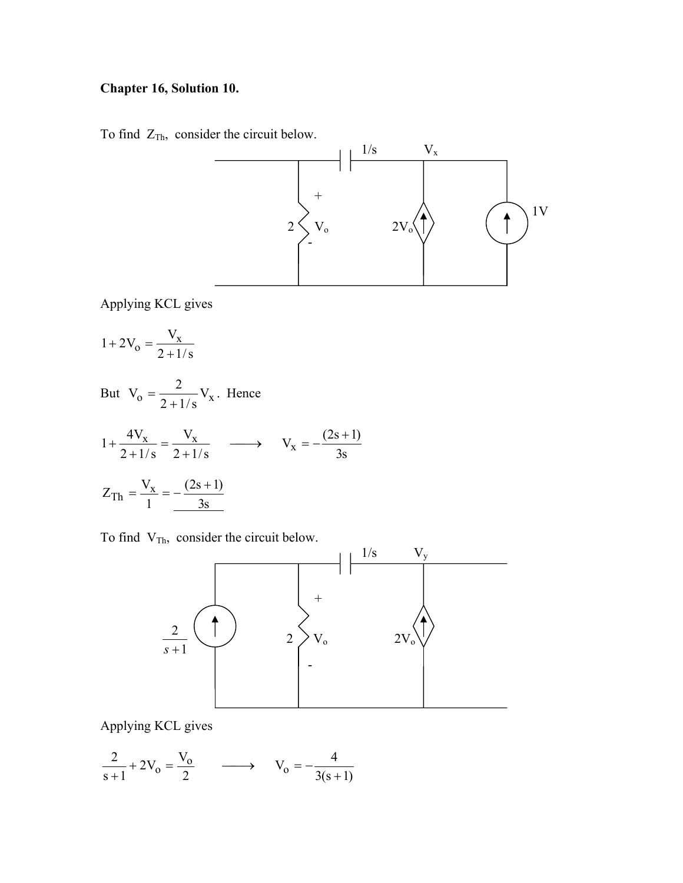### **Chapter 16, Solution 10.**

To find  $Z_{\text{Th}}$ , consider the circuit below.



Applying KCL gives

 $1+2V_o = \frac{V_x}{2+1/s}$  $+ 2V_0 =$ 

But 
$$
V_0 = \frac{2}{2 + 1/s} V_x
$$
. Hence  
\n
$$
1 + \frac{4V_x}{2 + 1/s} = \frac{V_x}{2 + 1/s} \longrightarrow V_x = -\frac{(2s + 1)}{3s}
$$
\n
$$
Z_{\text{Th}} = \frac{V_x}{1} = -\frac{(2s + 1)}{3s}
$$

To find  $V_{Th}$ , consider the circuit below.



Applying KCL gives

$$
\frac{2}{s+1} + 2V_0 = \frac{V_0}{2} \qquad \longrightarrow \qquad V_0 = -\frac{4}{3(s+1)}
$$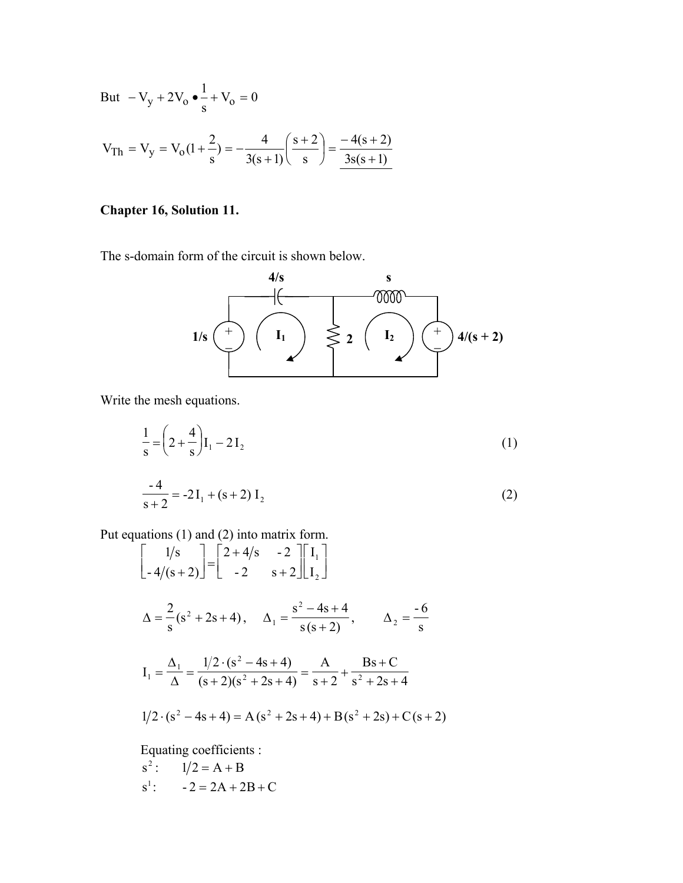But 
$$
-V_y + 2V_o \cdot \frac{1}{s} + V_o = 0
$$
  
 $V_{Th} = V_y = V_o(1 + \frac{2}{s}) = -\frac{4}{3(s+1)} \left(\frac{s+2}{s}\right) = \frac{-4(s+2)}{3s(s+1)}$ 

# Chapter 16, Solution 11.

The s-domain form of the circuit is shown below.



Write the mesh equations.

$$
\frac{1}{s} = \left(2 + \frac{4}{s}\right)I_1 - 2I_2
$$
\n
$$
\frac{-4}{s+2} = -2I_1 + (s+2)I_2
$$
\n(1)

Put equations  $(1)$  and  $(2)$  into matrix form.

$$
\begin{bmatrix} 1/s \\ -4/(s+2) \end{bmatrix} = \begin{bmatrix} 2+4/s & -2 \\ -2 & s+2 \end{bmatrix} \begin{bmatrix} I_1 \\ I_2 \end{bmatrix}
$$
  
\n
$$
\Delta = \frac{2}{s}(s^2 + 2s + 4), \quad \Delta_1 = \frac{s^2 - 4s + 4}{s(s+2)}, \quad \Delta_2 = \frac{-6}{s}
$$
  
\n
$$
I_1 = \frac{\Delta_1}{\Delta} = \frac{1/2 \cdot (s^2 - 4s + 4)}{(s+2)(s^2 + 2s + 4)} = \frac{A}{s+2} + \frac{Bs + C}{s^2 + 2s + 4}
$$
  
\n
$$
1/2 \cdot (s^2 - 4s + 4) = A(s^2 + 2s + 4) + B(s^2 + 2s) + C(s+2)
$$
  
\nEquating coefficients:

Equating coefficients :

s<sup>2</sup>: 
$$
1/2 = A + B
$$
  
s<sup>1</sup>:  $-2 = 2A + 2B + C$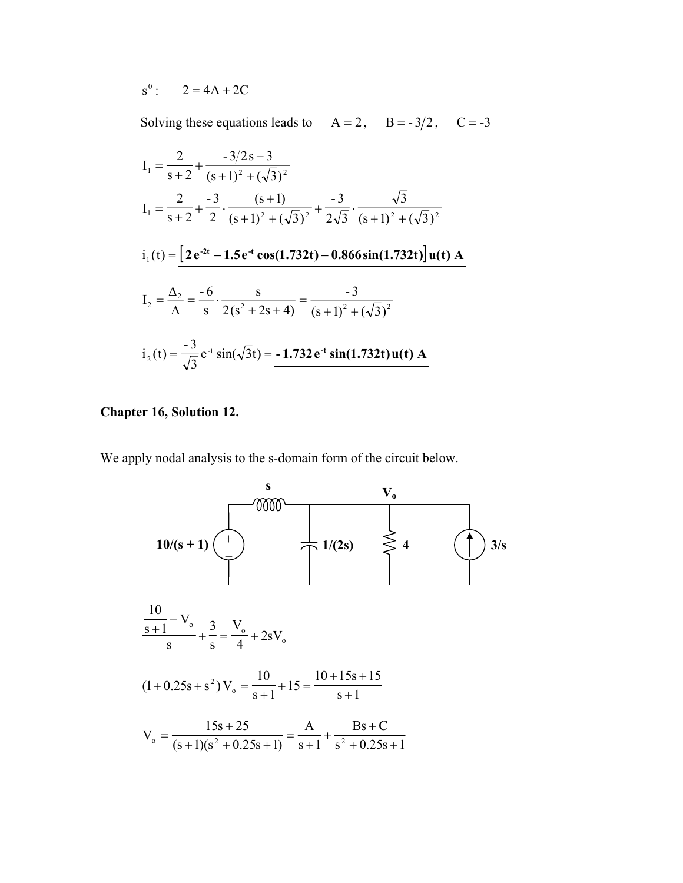$S^0$ :  $2 = 4A + 2C$ 

Solving these equations leads to  $A = 2$ ,  $B = -3/2$ ,  $C = -3$ 

$$
I_1 = \frac{2}{s+2} + \frac{-3/2s - 3}{(s+1)^2 + (\sqrt{3})^2}
$$
  
\n
$$
I_1 = \frac{2}{s+2} + \frac{-3}{2} \cdot \frac{(s+1)}{(s+1)^2 + (\sqrt{3})^2} + \frac{-3}{2\sqrt{3}} \cdot \frac{\sqrt{3}}{(s+1)^2 + (\sqrt{3})^2}
$$
  
\n
$$
i_1(t) = \frac{2e^{2t} - 1.5e^{t} \cos(1.732t) - 0.866 \sin(1.732t) \cdot \ln(t) \cdot A}{2 \cdot 2 \cdot 3^2} = \frac{-6}{s} \cdot \frac{s}{2(s^2 + 2s + 4)} = \frac{-3}{(s+1)^2 + (\sqrt{3})^2}
$$
  
\n
$$
i_2(t) = \frac{-3}{\sqrt{3}} e^{-t} \sin(\sqrt{3}t) = -1.732e^{t} \sin(1.732t) \cdot u(t) \cdot A
$$

#### **Chapter 16, Solution 12.**

We apply nodal analysis to the s-domain form of the circuit below.

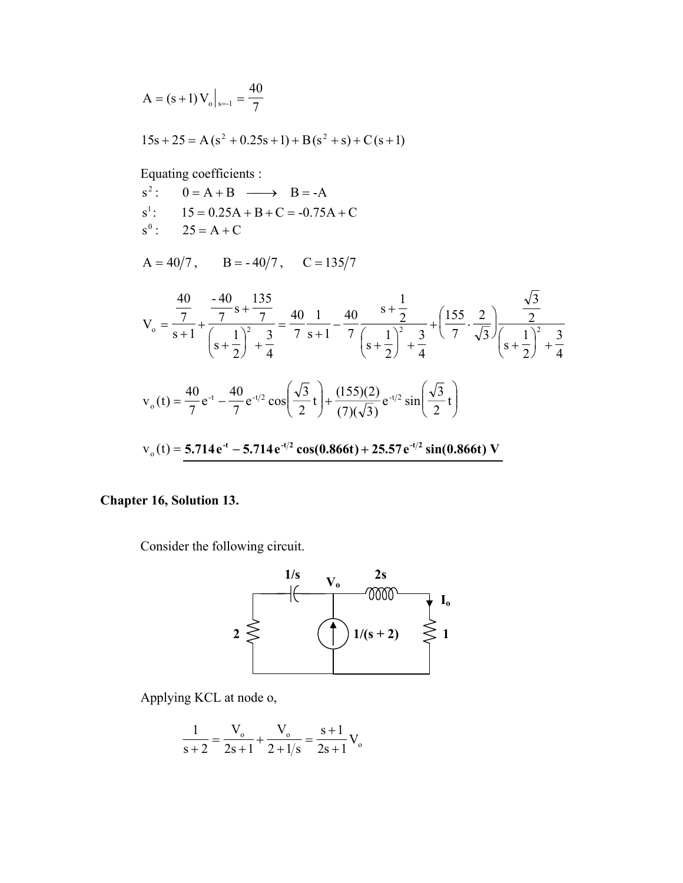$$
A = (s+1) V_0 |_{s=-1} = \frac{40}{7}
$$

$$
15s + 25 = A(s2 + 0.25s + 1) + B(s2 + s) + C(s + 1)
$$

Equating coefficients :

| $s^2$ : $0 = A + B \longrightarrow B = -A$ |
|--------------------------------------------|
| $s^1$ : $15 = 0.25A + B + C = -0.75A + C$  |
| $s^{0}$ : $25 = A + C$                     |

 $A = 40/7$ ,  $B = -40/7$ ,  $C = 135/7$ 

$$
V_o = \frac{\frac{40}{7}}{s+1} + \frac{\frac{-40}{7}s + \frac{135}{7}}{\left(s+\frac{1}{2}\right)^2 + \frac{3}{4}} = \frac{40}{7}\frac{1}{s+1} - \frac{40}{7}\frac{s+\frac{1}{2}}{\left(s+\frac{1}{2}\right)^2 + \frac{3}{4}} + \left(\frac{155}{7}\cdot\frac{2}{\sqrt{3}}\right)\frac{\frac{\sqrt{3}}{2}}{\left(s+\frac{1}{2}\right)^2 + \frac{3}{4}}
$$
  

$$
V_o(t) = \frac{40}{7}e^{-t} - \frac{40}{7}e^{-t/2}\cos\left(\frac{\sqrt{3}}{2}t\right) + \frac{(155)(2)}{(7)(\sqrt{3})}e^{-t/2}\sin\left(\frac{\sqrt{3}}{2}t\right)
$$
  

$$
V_o(t) = 5.714e^{-t} - 5.714e^{-t/2}\cos(0.866t) + 25.57e^{-t/2}\sin(0.866t) V
$$

## Chapter 16, Solution 13.

Consider the following circuit.



Applying KCL at node o,

$$
\frac{1}{s+2} = \frac{V_o}{2s+1} + \frac{V_o}{2+1/s} = \frac{s+1}{2s+1}V_o
$$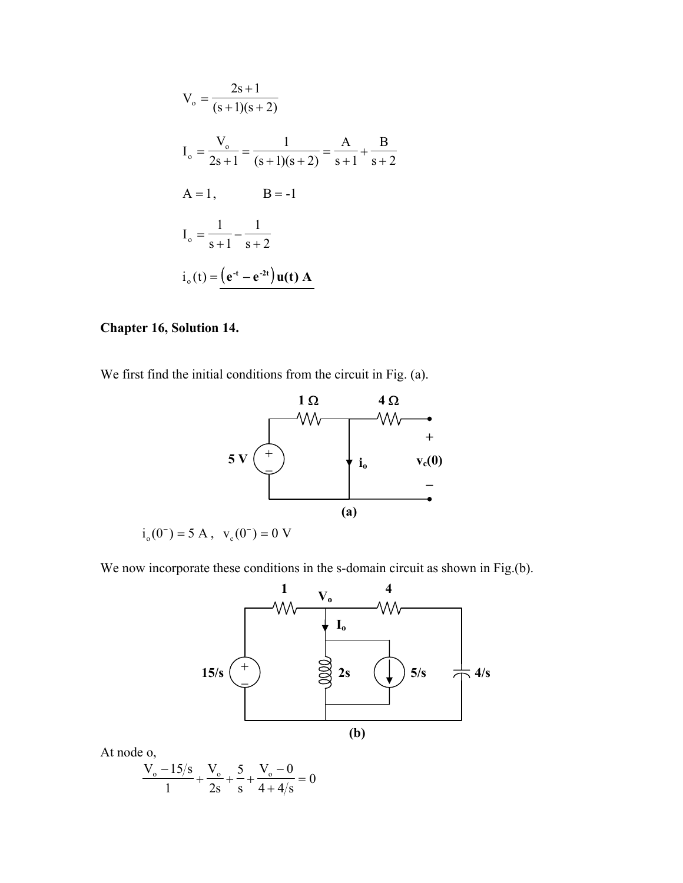$$
V_o = \frac{2s+1}{(s+1)(s+2)}
$$
  
\n
$$
I_o = \frac{V_o}{2s+1} = \frac{1}{(s+1)(s+2)} = \frac{A}{s+1} + \frac{B}{s+2}
$$
  
\n
$$
A = 1, \qquad B = -1
$$
  
\n
$$
I_o = \frac{1}{s+1} - \frac{1}{s+2}
$$
  
\n
$$
i_o(t) = (e^{-t} - e^{-2t})u(t) A
$$

#### **Chapter 16, Solution 14.**

We first find the initial conditions from the circuit in Fig. (a).



 $i_o(0^-) = 5$  A,  $v_c(0^-) = 0$  V

We now incorporate these conditions in the s-domain circuit as shown in Fig.(b).



At node o,

$$
\frac{V_o - 15/s}{1} + \frac{V_o}{2s} + \frac{5}{s} + \frac{V_o - 0}{4 + 4/s} = 0
$$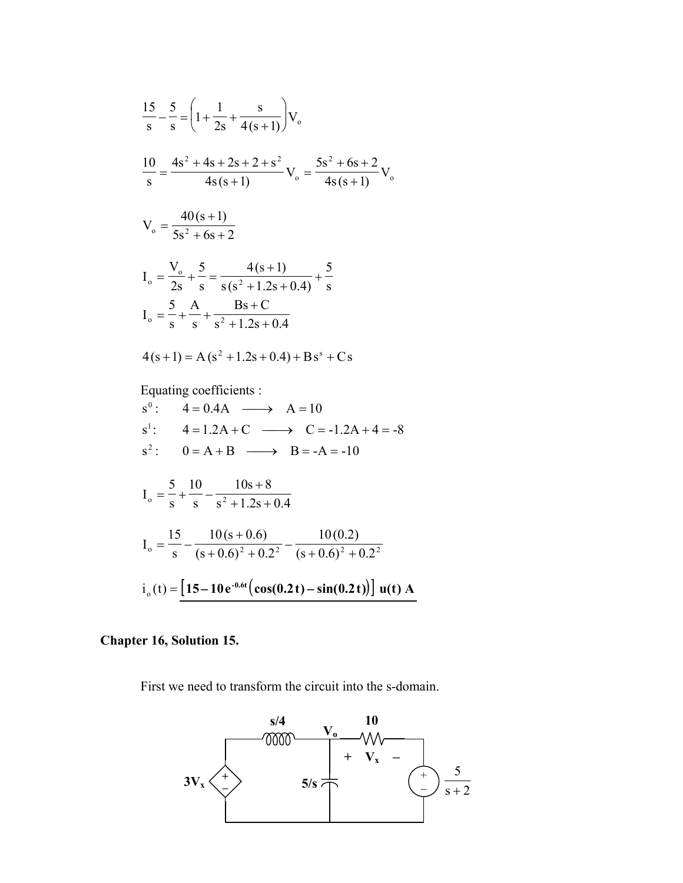$$
\frac{15}{s} - \frac{5}{s} = \left(1 + \frac{1}{2s} + \frac{s}{4(s+1)}\right) V_o
$$
  

$$
\frac{10}{s} = \frac{4s^2 + 4s + 2s + 2 + s^2}{4s(s+1)} V_o = \frac{5s^2 + 6s + 2}{4s(s+1)} V_o
$$
  

$$
V_o = \frac{40(s+1)}{5s^2 + 6s + 2}
$$
  

$$
I_o = \frac{V_o}{2s} + \frac{5}{s} = \frac{4(s+1)}{s(s^2 + 1.2s + 0.4)} + \frac{5}{s}
$$
  

$$
I_o = \frac{5}{s} + \frac{A}{s} + \frac{Bs + C}{s^2 + 1.2s + 0.4}
$$
  

$$
4(s+1) = A(s^2 + 1.2s + 0.4) + Bs^s + Cs
$$
  
Equating coefficients :  

$$
s^0: 4 = 0.4A \longrightarrow A = 10
$$
  

$$
s^1: 4 = 1.2A + C \longrightarrow C = -1.2A + 4 = -8
$$
  

$$
s^2: 0 = A + B \longrightarrow B = -A = -10
$$

$$
I_o = \frac{5}{s} + \frac{10}{s} - \frac{10s + 8}{s^2 + 1.2s + 0.4}
$$
  
\n
$$
I_o = \frac{15}{s} - \frac{10(s + 0.6)}{(s + 0.6)^2 + 0.2^2} - \frac{10(0.2)}{(s + 0.6)^2 + 0.2^2}
$$
  
\n
$$
i_o(t) = \boxed{15 - 10e^{-0.6t} \left(\cos(0.2t) - \sin(0.2t)\right) \cdot u(t) \cdot A}
$$

## Chapter 16, Solution 15.

First we need to transform the circuit into the s-domain.

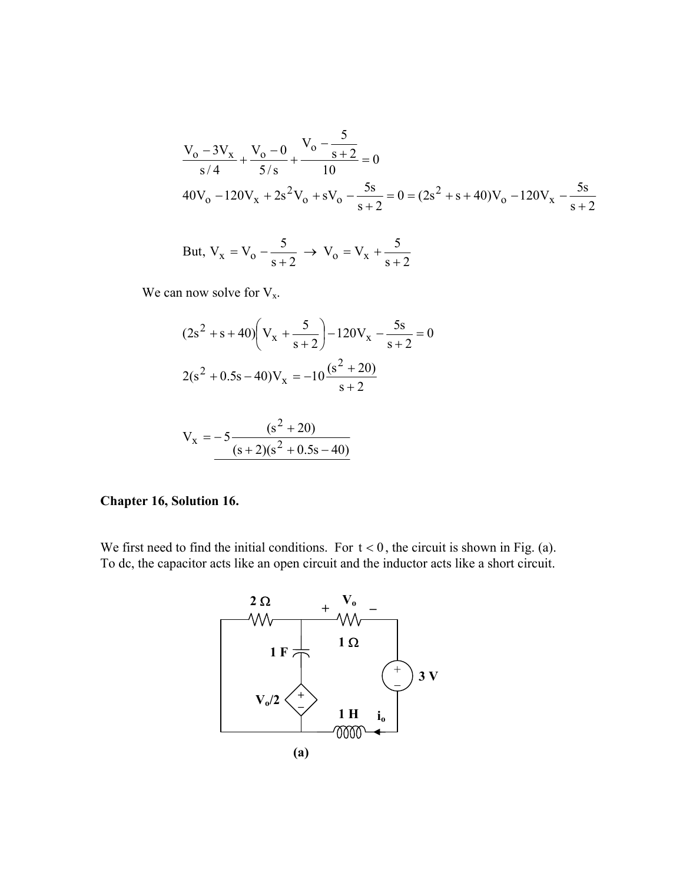$$
\frac{V_o - 3V_x}{s/4} + \frac{V_o - 0}{5/s} + \frac{V_o - \frac{5}{s+2}}{10} = 0
$$
  
40V<sub>o</sub> - 120V<sub>x</sub> + 2s<sup>2</sup>V<sub>o</sub> + sV<sub>o</sub> -  $\frac{5s}{s+2}$  = 0 = (2s<sup>2</sup> + s + 40)V<sub>o</sub> - 120V<sub>x</sub> -  $\frac{5s}{s+2}$ 

But, 
$$
V_x = V_o - \frac{5}{s+2} \rightarrow V_o = V_x + \frac{5}{s+2}
$$

We can now solve for  $V_x$ .

$$
(2s2 + s + 40) \left(Vx + \frac{5}{s+2}\right) - 120Vx - \frac{5s}{s+2} = 0
$$
  

$$
2(s2 + 0.5s - 40)Vx = -10 \frac{(s2 + 20)}{s+2}
$$

$$
V_x = -5 \frac{(s^2 + 20)}{(s+2)(s^2 + 0.5s - 40)}
$$

#### **Chapter 16, Solution 16.**

We first need to find the initial conditions. For  $t < 0$ , the circuit is shown in Fig. (a). To dc, the capacitor acts like an open circuit and the inductor acts like a short circuit.

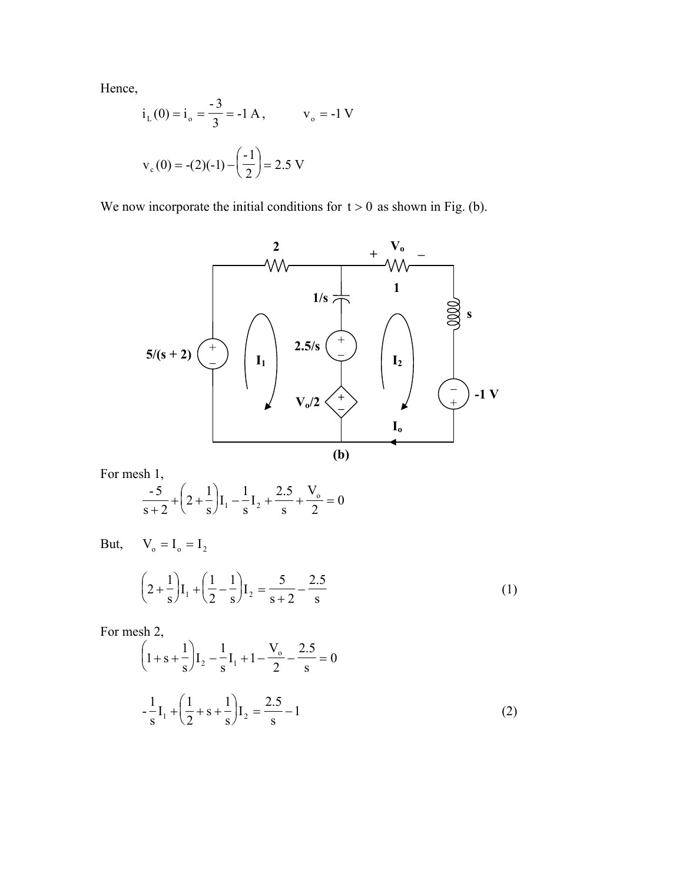Hence,

$$
i_L(0) = i_o = \frac{-3}{3} = -1 A
$$
,  $v_o = -1 V$   
 $v_c(0) = -(2)(-1) - \left(\frac{-1}{2}\right) = 2.5 V$ 

We now incorporate the initial conditions for  $t > 0$  as shown in Fig. (b).



For mesh 1,

$$
\frac{-5}{s+2} + \left(2 + \frac{1}{s}\right)I_1 - \frac{1}{s}I_2 + \frac{2.5}{s} + \frac{V_o}{2} = 0
$$

 $V_{o} = I_{o} = I_{2}$ But,

$$
\left(2 + \frac{1}{s}\right)I_1 + \left(\frac{1}{2} - \frac{1}{s}\right)I_2 = \frac{5}{s+2} - \frac{2.5}{s}
$$
 (1)

For mesh 2,

$$
\left(1+s+\frac{1}{s}\right)I_2 - \frac{1}{s}I_1 + 1 - \frac{V_o}{2} - \frac{2.5}{s} = 0
$$
  

$$
-\frac{1}{s}I_1 + \left(\frac{1}{2} + s + \frac{1}{s}\right)I_2 = \frac{2.5}{s} - 1
$$
 (2)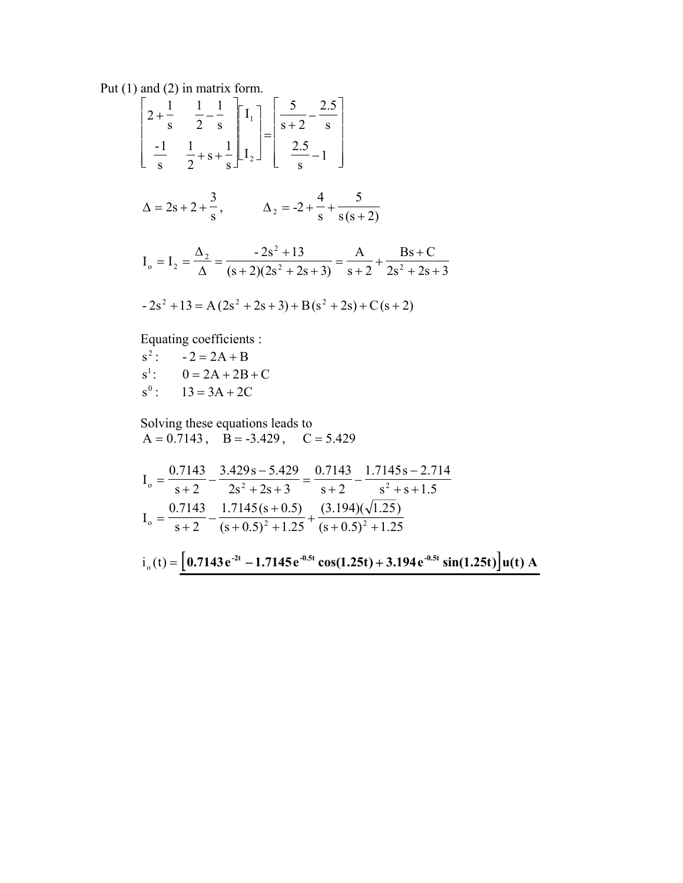Put  $(1)$  and  $(2)$  in matrix form.

 $\begin{bmatrix} 2+\frac{1}{s} & \frac{1}{2}-\frac{1}{s} \\ -\frac{1}{s} & \frac{1}{2}+s+\frac{1}{s} \end{bmatrix} \begin{bmatrix} I_1 \\ I_2 \end{bmatrix} = \begin{bmatrix} \frac{5}{s+2}-\frac{2.5}{s} \\ \frac{2.5}{s}-1 \end{bmatrix}$  $\Delta = 2s + 2 + \frac{3}{s},$   $\Delta_2 = -2 + \frac{4}{s} + \frac{5}{s(s+2)}$  $I_0 = I_2 = \frac{\Delta_2}{\Delta} = \frac{-2s^2 + 13}{(s+2)(2s^2 + 2s + 3)} = \frac{A}{s+2} + \frac{Bs + C}{2s^2 + 2s + 3}$  $-2s^{2} + 13 = A(2s^{2} + 2s + 3) + B(s^{2} + 2s) + C(s + 2)$ 

Equating coefficients :

 $s^2$ :  $-2 = 2A + B$  $s^1$ :  $0 = 2A + 2B + C$  $s^{0}$ : 13 = 3A + 2C

Solving these equations leads to  $A = 0.7143$ ,  $B = -3.429$ ,  $C = 5.429$ 

$$
I_o = \frac{0.7143}{s+2} - \frac{3.429s - 5.429}{2s^2 + 2s + 3} = \frac{0.7143}{s+2} - \frac{1.7145s - 2.714}{s^2 + s + 1.5}
$$
  
\n
$$
I_o = \frac{0.7143}{s+2} - \frac{1.7145(s+0.5)}{(s+0.5)^2 + 1.25} + \frac{(3.194)(\sqrt{1.25})}{(s+0.5)^2 + 1.25}
$$

$$
i_{o}(t) = [0.7143 e^{2t} - 1.7145 e^{-0.5t} \cos(1.25t) + 3.194 e^{-0.5t} \sin(1.25t)] u(t) A
$$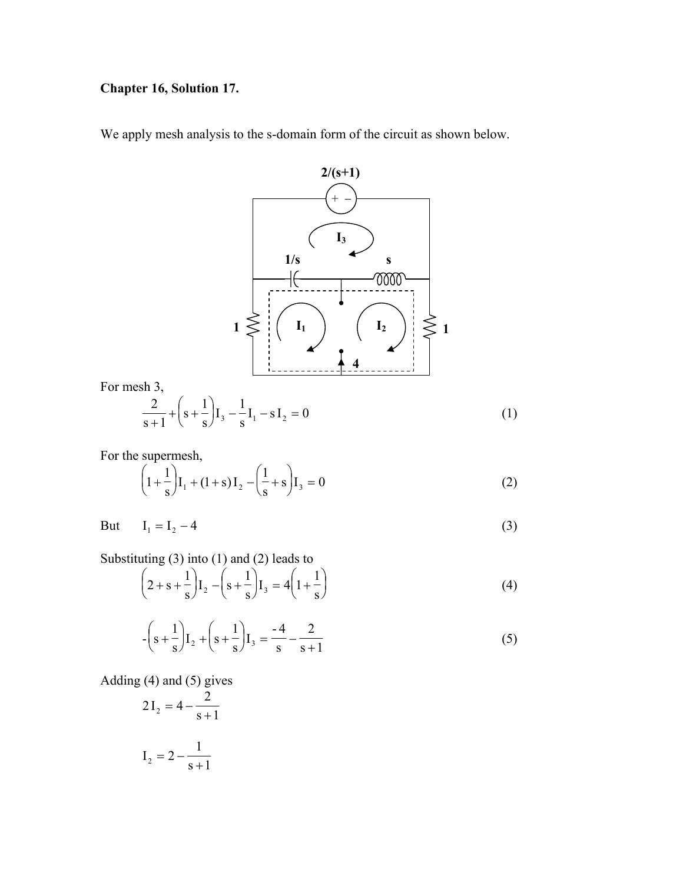### **Chapter 16, Solution 17.**

We apply mesh analysis to the s-domain form of the circuit as shown below.



For the supermesh,

$$
\left(1 + \frac{1}{s}\right)I_1 + (1+s)I_2 - \left(\frac{1}{s} + s\right)I_3 = 0
$$
\n(2)

But  $I_1 = I_2 - 4$  (3)

Substituting (3) into (1) and (2) leads to

$$
\left(2+s+\frac{1}{s}\right)I_2-\left(s+\frac{1}{s}\right)I_3=4\left(1+\frac{1}{s}\right)
$$
\n(4)

$$
-\left(s+\frac{1}{s}\right)I_2+\left(s+\frac{1}{s}\right)I_3=\frac{-4}{s}-\frac{2}{s+1}
$$
 (5)

Adding (4) and (5) gives

$$
2I_2 = 4 - \frac{2}{s+1}
$$

$$
I_2 = 2 - \frac{1}{s+1}
$$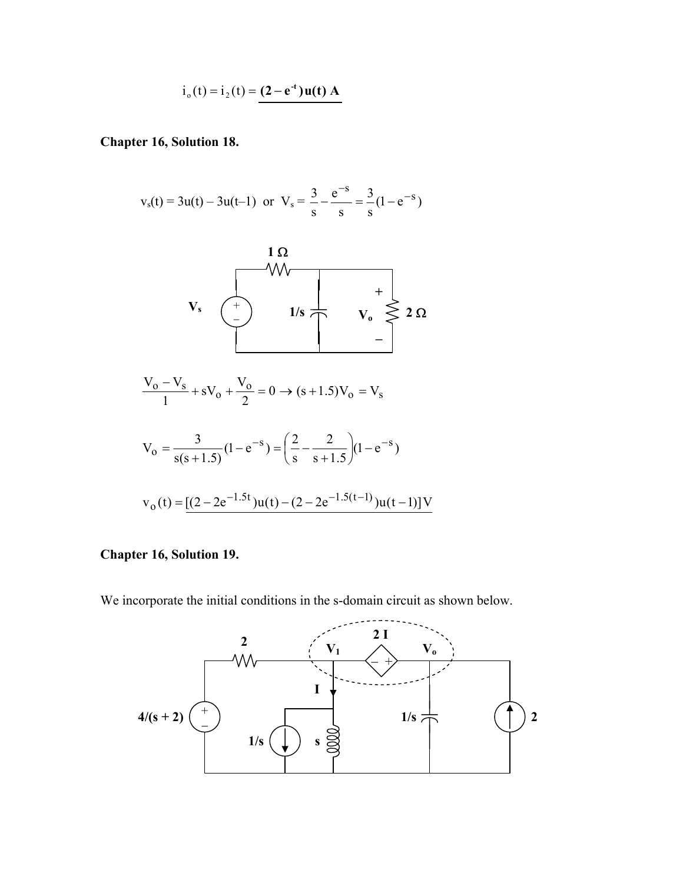$$
i_0(t) = i_2(t) = (2 - e^{-t})u(t) A
$$

#### **Chapter 16, Solution 18.**

$$
v_s(t) = 3u(t) - 3u(t-1)
$$
 or  $V_s = \frac{3}{s} - \frac{e^{-s}}{s} = \frac{3}{s}(1 - e^{-s})$ 



#### **Chapter 16, Solution 19.**

We incorporate the initial conditions in the s-domain circuit as shown below.

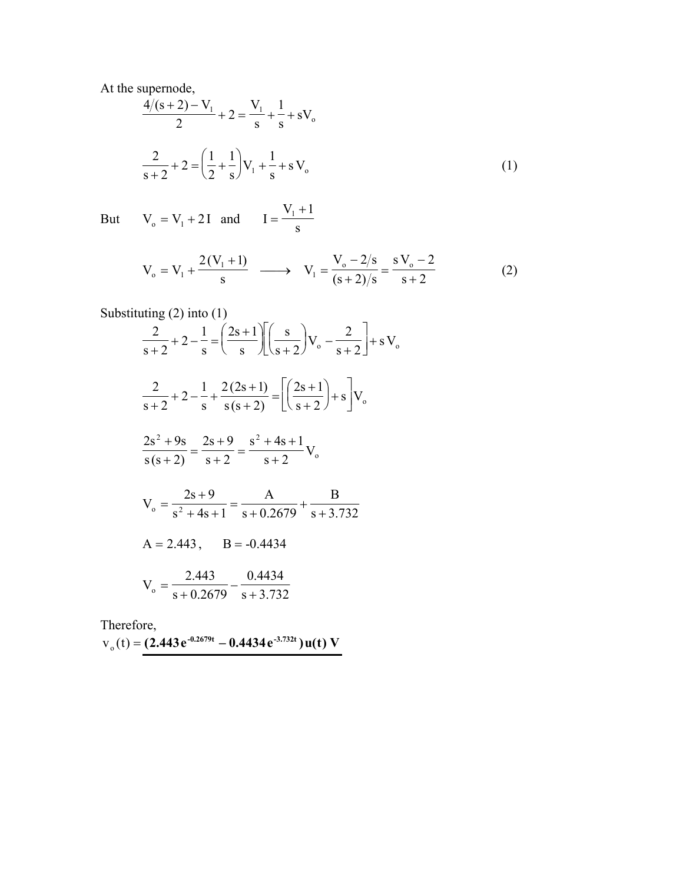At the supernode,

$$
\frac{4/(s+2)-V_1}{2} + 2 = \frac{V_1}{s} + \frac{1}{s} + sV_0
$$
  

$$
\frac{2}{s+2} + 2 = \left(\frac{1}{2} + \frac{1}{s}\right)V_1 + \frac{1}{s} + sV_0
$$
 (1)

But  $V_0 = V_1 + 2I$  and  $I = \frac{V_1 + 1}{s}$ 

$$
V_o = V_1 + \frac{2(V_1 + 1)}{s} \longrightarrow V_1 = \frac{V_o - 2/s}{(s + 2)/s} = \frac{sV_o - 2}{s + 2}
$$
(2)

Substituting (2) into (1)  
\n
$$
\frac{2}{s+2} + 2 - \frac{1}{s} = \left(\frac{2s+1}{s}\right) \left[\frac{s}{s+2}\right] V_o - \frac{2}{s+2} + s V_o
$$
\n
$$
\frac{2}{s+2} + 2 - \frac{1}{s} + \frac{2(2s+1)}{s(s+2)} = \left[\frac{2s+1}{s+2}\right] + s V_o
$$
\n
$$
\frac{2s^2 + 9s}{s(s+2)} = \frac{2s+9}{s+2} = \frac{s^2 + 4s + 1}{s+2} V_o
$$
\n
$$
V_o = \frac{2s+9}{s^2 + 4s + 1} = \frac{A}{s+0.2679} + \frac{B}{s+3.732}
$$
\n
$$
A = 2.443, \quad B = -0.4434
$$
\n
$$
V_o = \frac{2.443}{s+0.2679} - \frac{0.4434}{s+3.732}
$$

Therefore,  $v_0(t) = (2.443 e^{-0.2679t} - 0.4434 e^{-3.732t}) u(t) V$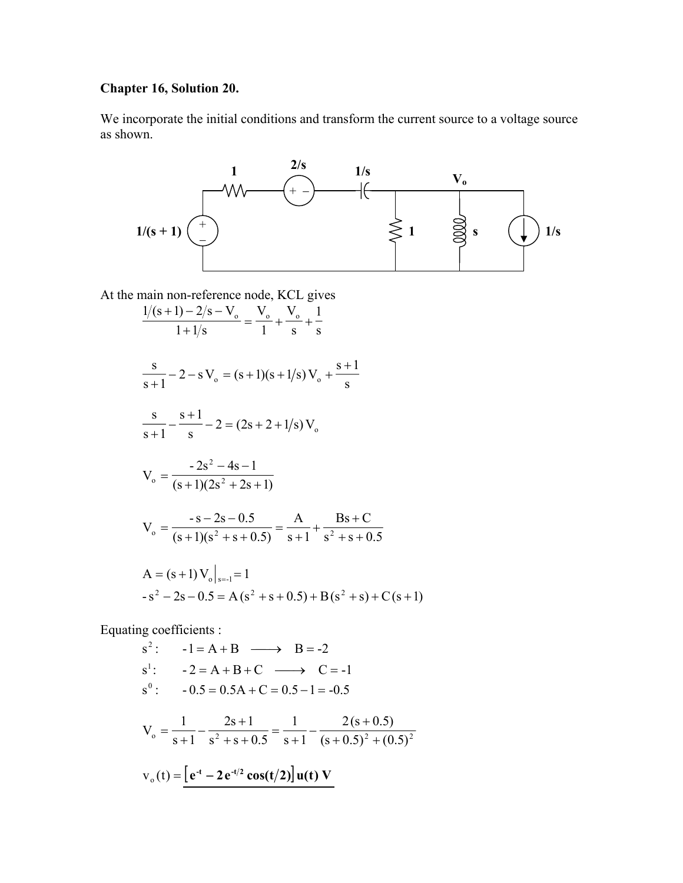## **Chapter 16, Solution 20.**

We incorporate the initial conditions and transform the current source to a voltage source as shown.



At the main non-reference node, KCL gives

$$
\frac{1/(s+1)-2/s-V_o}{1+1/s} = \frac{V_o}{1} + \frac{V_o}{s} + \frac{1}{s}
$$
  

$$
\frac{s}{s+1} - 2 - sV_o = (s+1)(s+1/s)V_o + \frac{s+1}{s}
$$
  

$$
\frac{s}{s+1} - \frac{s+1}{s} - 2 = (2s+2+1/s)V_o
$$
  

$$
V_o = \frac{-2s^2 - 4s - 1}{(s+1)(2s^2 + 2s + 1)}
$$
  

$$
V_o = \frac{-s-2s - 0.5}{(s+1)(s^2 + s + 0.5)} = \frac{A}{s+1} + \frac{Bs + C}{s^2 + s + 0.5}
$$
  

$$
A = (s+1)V_o|_{s=1} = 1
$$
  

$$
-s^2 - 2s - 0.5 = A(s^2 + s + 0.5) + B(s^2 + s) + C(s+1)
$$

Equating coefficients :

$$
s^{2}: -1 = A + B \longrightarrow B = -2
$$
  
\n
$$
s^{1}: -2 = A + B + C \longrightarrow C = -1
$$
  
\n
$$
s^{0}: -0.5 = 0.5A + C = 0.5 - 1 = -0.5
$$
  
\n
$$
V_{o} = \frac{1}{s+1} - \frac{2s+1}{s^{2} + s + 0.5} = \frac{1}{s+1} - \frac{2(s+0.5)}{(s+0.5)^{2} + (0.5)^{2}}
$$
  
\n
$$
v_{o}(t) = \underline{[e^{t} - 2e^{t/2} \cos(t/2)]u(t) V}
$$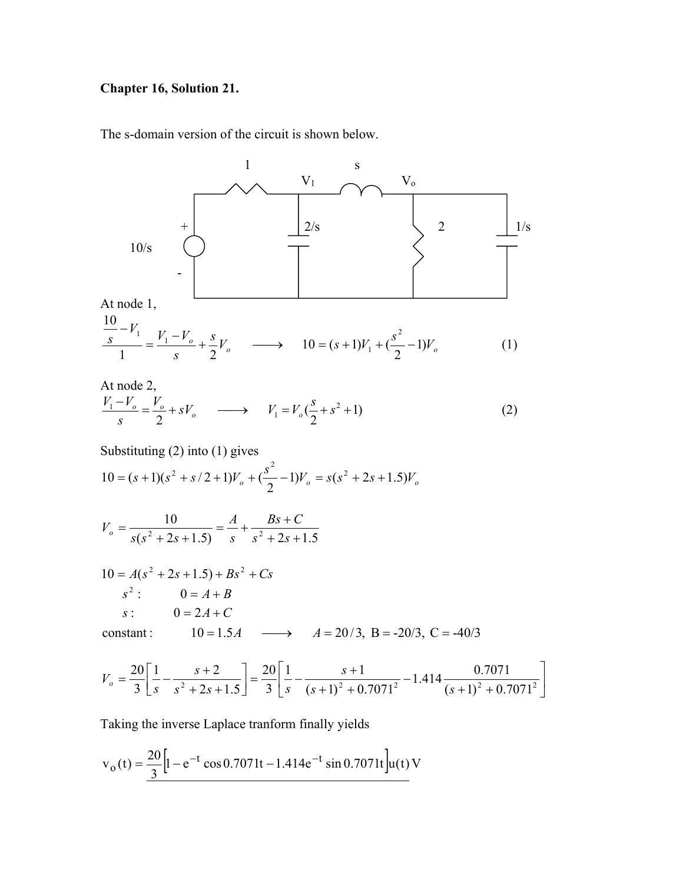## **Chapter 16, Solution 21.**

The s-domain version of the circuit is shown below.



$$
\frac{\frac{10}{s} - V_1}{1} = \frac{V_1 - V_o}{s} + \frac{s}{2} V_o \longrightarrow 10 = (s+1)V_1 + (\frac{s^2}{2} - 1)V_o
$$
 (1)

At node 2,  
\n
$$
\frac{V_1 - V_o}{s} = \frac{V_o}{2} + sV_o \longrightarrow V_1 = V_o(\frac{s}{2} + s^2 + 1)
$$
\n(2)

Substituting 
$$
(2)
$$
 into  $(1)$  gives

$$
10 = (s+1)(s2 + s/2 + 1)Vo + (\frac{s2}{2} - 1)Vo = s(s2 + 2s + 1.5)Vo
$$

$$
V_o = \frac{10}{s(s^2 + 2s + 1.5)} = \frac{A}{s} + \frac{Bs + C}{s^2 + 2s + 1.5}
$$

$$
10 = A(s2 + 2s + 1.5) + Bs2 + Cs
$$
  
\n
$$
s2: 0 = A + B
$$
  
\n
$$
s: 0 = 2A + C
$$
  
\nconstant: 10 = 1.5A  $\longrightarrow$  A = 20/3, B = -20/3, C = -40/3

$$
V_o = \frac{20}{3} \left[ \frac{1}{s} - \frac{s+2}{s^2 + 2s + 1.5} \right] = \frac{20}{3} \left[ \frac{1}{s} - \frac{s+1}{(s+1)^2 + 0.7071^2} - 1.414 \frac{0.7071}{(s+1)^2 + 0.7071^2} \right]
$$

Taking the inverse Laplace tranform finally yields

$$
v_o(t) = \frac{20}{3} \left[ 1 - e^{-t} \cos 0.7071t - 1.414e^{-t} \sin 0.7071t \right] u(t) V
$$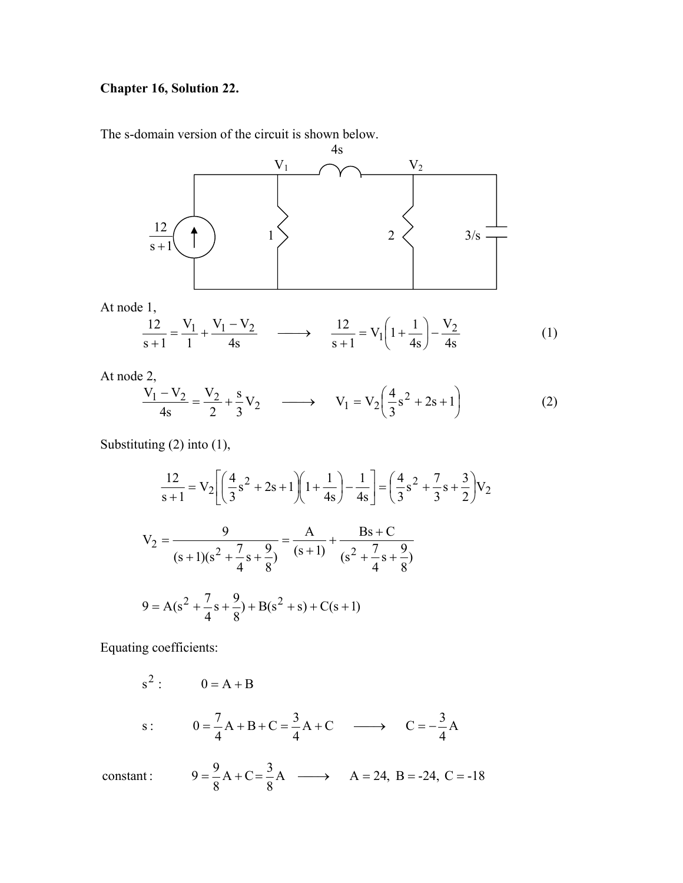### **Chapter 16, Solution 22.**

The s-domain version of the circuit is shown below.



At node 1,

$$
\frac{12}{s+1} = \frac{V_1}{1} + \frac{V_1 - V_2}{4s} \longrightarrow \frac{12}{s+1} = V_1 \left( 1 + \frac{1}{4s} \right) - \frac{V_2}{4s}
$$
(1)

At node 2,

$$
\frac{V_1 - V_2}{4s} = \frac{V_2}{2} + \frac{s}{3} V_2 \longrightarrow V_1 = V_2 \left(\frac{4}{3} s^2 + 2s + 1\right)
$$
 (2)

Substituting (2) into (1),

$$
\frac{12}{s+1} = V_2 \left[ \left( \frac{4}{3} s^2 + 2s + 1 \right) \left( 1 + \frac{1}{4s} \right) - \frac{1}{4s} \right] = \left( \frac{4}{3} s^2 + \frac{7}{3} s + \frac{3}{2} \right) V_2
$$
  

$$
V_2 = \frac{9}{(s+1)(s^2 + \frac{7}{4} s + \frac{9}{8})} = \frac{A}{(s+1)} + \frac{Bs + C}{(s^2 + \frac{7}{4} s + \frac{9}{8})}
$$
  

$$
9 = A(s^2 + \frac{7}{4} s + \frac{9}{8}) + B(s^2 + s) + C(s+1)
$$

Equating coefficients:

s<sup>2</sup>: 
$$
0 = A + B
$$
  
s:  $0 = \frac{7}{4}A + B + C = \frac{3}{4}A + C \longrightarrow C = -\frac{3}{4}A$ 

A  $\longrightarrow$  A = 24, B = -24, C = -18 8  $A + C = \frac{3}{2}$ 8 constant :  $9 = \frac{9}{6}A + C = \frac{3}{6}A \longrightarrow A = 24, B = -24, C =$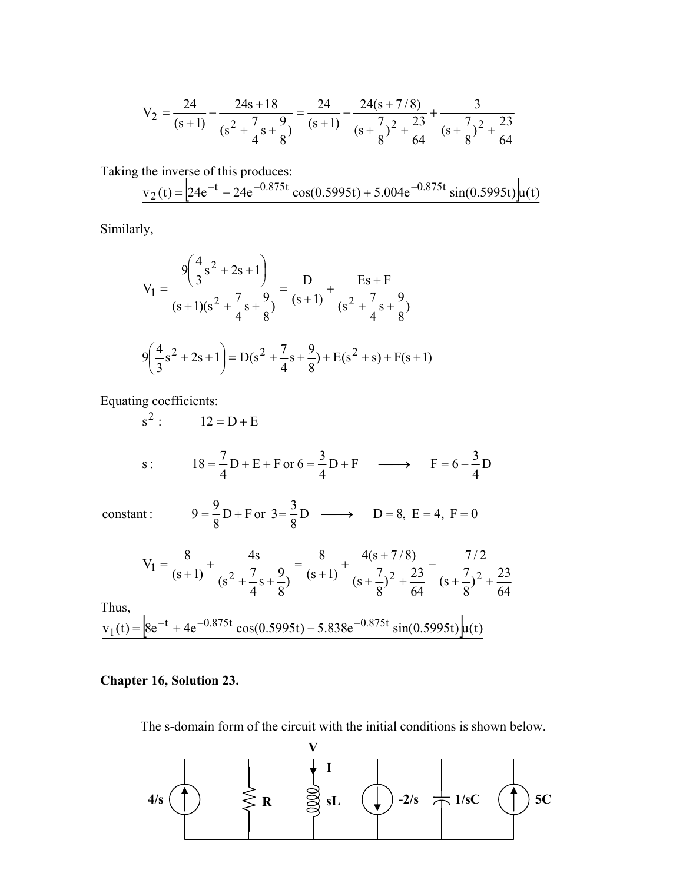$$
V_2 = \frac{24}{(s+1)} - \frac{24s+18}{(s^2 + \frac{7}{4}s + \frac{9}{8})} = \frac{24}{(s+1)} - \frac{24(s+7/8)}{(s + \frac{7}{8})^2 + \frac{23}{64}} + \frac{3}{(s + \frac{7}{8})^2 + \frac{23}{64}}
$$

Taking the inverse of this produces:

$$
v_2(t) = 24e^{-t} - 24e^{-0.875t} \cos(0.5995t) + 5.004e^{-0.875t} \sin(0.5995t) u(t)
$$

Similarly,

$$
V_1 = \frac{9\left(\frac{4}{3}s^2 + 2s + 1\right)}{(s+1)(s^2 + \frac{7}{4}s + \frac{9}{8})} = \frac{D}{(s+1)} + \frac{Es + F}{(s^2 + \frac{7}{4}s + \frac{9}{8})}
$$
  

$$
9\left(\frac{4}{3}s^2 + 2s + 1\right) = D(s^2 + \frac{7}{4}s + \frac{9}{8}) + E(s^2 + s) + F(s+1)
$$

Equating coefficients:

s<sup>2</sup>: 12 = D + E  
s: 18 = 
$$
\frac{7}{4}
$$
D + E + For 6 =  $\frac{3}{4}$ D + F  $\longrightarrow$  F = 6 -  $\frac{3}{4}$ D

constant :  $9 = \frac{9}{5}D + F$  or  $3 = \frac{3}{5}D$   $\longrightarrow$   $D = 8$ ,  $E = 4$ ,  $F =$ 

$$
V_1 = \frac{8}{(s+1)} + \frac{4s}{(s^2 + \frac{7}{4}s + \frac{9}{8})} = \frac{8}{(s+1)} + \frac{4(s+7/8)}{(s+\frac{7}{8})^2 + \frac{23}{64}} - \frac{7/2}{(s+\frac{7}{8})^2 + \frac{23}{64}}
$$

 $D \longrightarrow D = 8, E = 4, F = 0$ 

Thus,

$$
v_1(t) = \left[8e^{-t} + 4e^{-0.875t}\cos(0.5995t) - 5.838e^{-0.875t}\sin(0.5995t)\right]u(t)
$$

8

D + F or  $3 = \frac{3}{2}$ 

8

### **Chapter 16, Solution 23.**

The s-domain form of the circuit with the initial conditions is shown below.

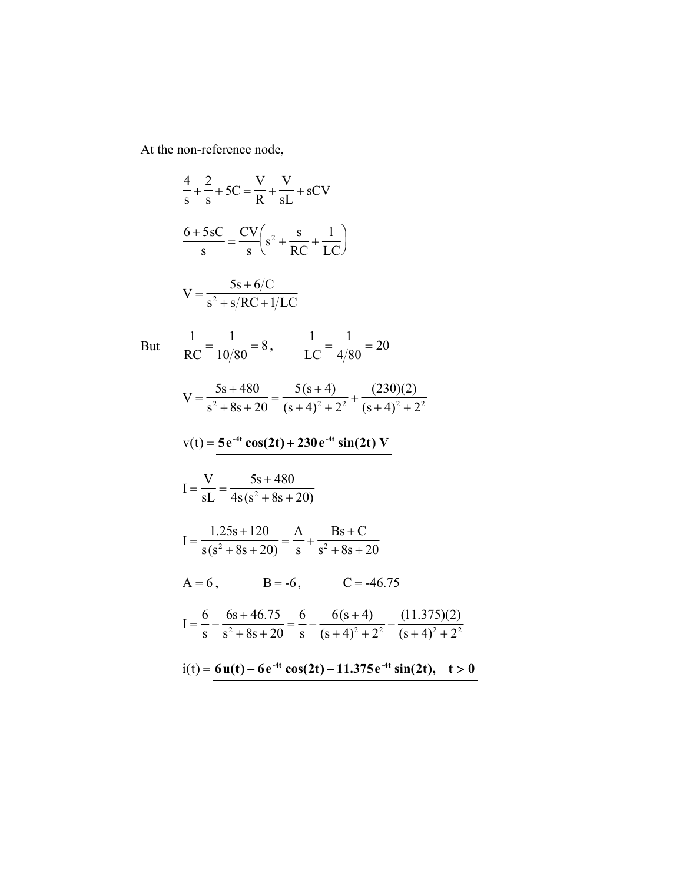At the non-reference node,

$$
\frac{4}{s} + \frac{2}{s} + 5C = \frac{V}{R} + \frac{V}{sL} + sCV
$$
\n
$$
\frac{6+5sC}{s} = \frac{CV}{s} \left( s^2 + \frac{s}{RC} + \frac{1}{LC} \right)
$$
\n
$$
V = \frac{5s + 6/C}{s^2 + s/RC + 1/LC}
$$
\nBut\n
$$
\frac{1}{RC} = \frac{1}{10/80} = 8, \qquad \frac{1}{LC} = \frac{1}{4/80} = 20
$$
\n
$$
V = \frac{5s + 480}{s^2 + 8s + 20} = \frac{5(s + 4)}{(s + 4)^2 + 2^2} + \frac{(230)(2)}{(s + 4)^2 + 2^2}
$$
\n
$$
v(t) = \frac{5e^{-4t} \cos(2t) + 230e^{-4t} \sin(2t) V}{4s(s^2 + 8s + 20)}
$$
\n
$$
I = \frac{V}{sL} = \frac{5s + 480}{4s(s^2 + 8s + 20)}
$$
\n
$$
I = \frac{1.25s + 120}{s(s^2 + 8s + 20)} = \frac{A}{s} + \frac{Bs + C}{s^2 + 8s + 20}
$$
\n
$$
A = 6, \qquad B = -6, \qquad C = -46.75
$$
\n
$$
I = \frac{6}{s} - \frac{6s + 46.75}{s^2 + 8s + 20} = \frac{6}{s} - \frac{6(s + 4)}{(s + 4)^2 + 2^2} - \frac{(11.375)(2)}{(s + 4)^2 + 2^2}
$$
\n
$$
i(t) = 6u(t) - 6e^{-4t} \cos(2t) - 11.375e^{-4t} \sin(2t), \quad t > 0
$$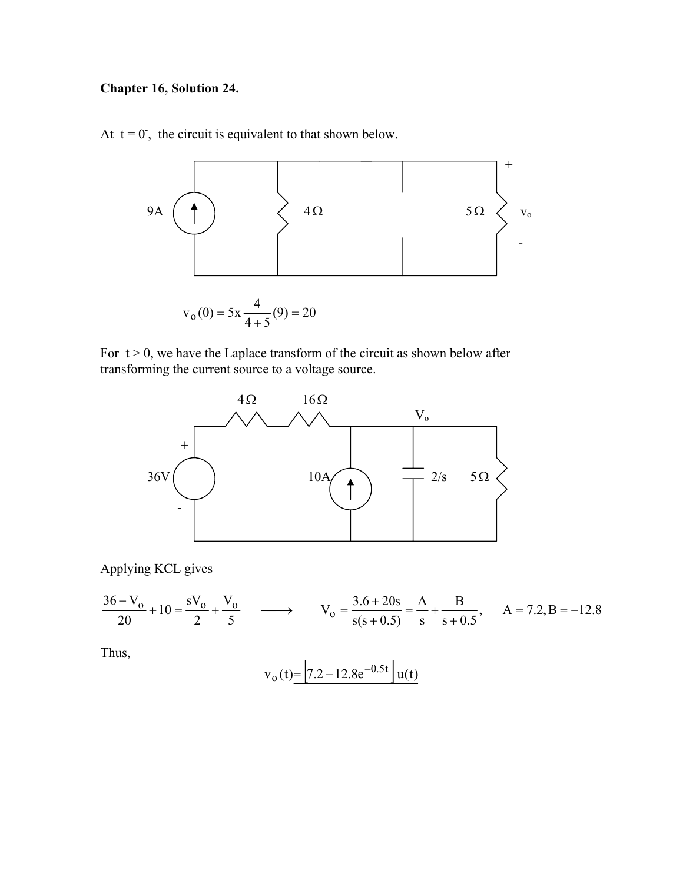### **Chapter 16, Solution 24.**

At  $t = 0$ , the circuit is equivalent to that shown below.



For  $t > 0$ , we have the Laplace transform of the circuit as shown below after transforming the current source to a voltage source.



Applying KCL gives

$$
\frac{36 - V_0}{20} + 10 = \frac{V_0}{2} + \frac{V_0}{5} \longrightarrow V_0 = \frac{3.6 + 20s}{s(s + 0.5)} = \frac{A}{s} + \frac{B}{s + 0.5}, A = 7.2, B = -12.8
$$

Thus,

$$
v_o(t) = \left[ 7.2 - 12.8e^{-0.5t} \right] u(t)
$$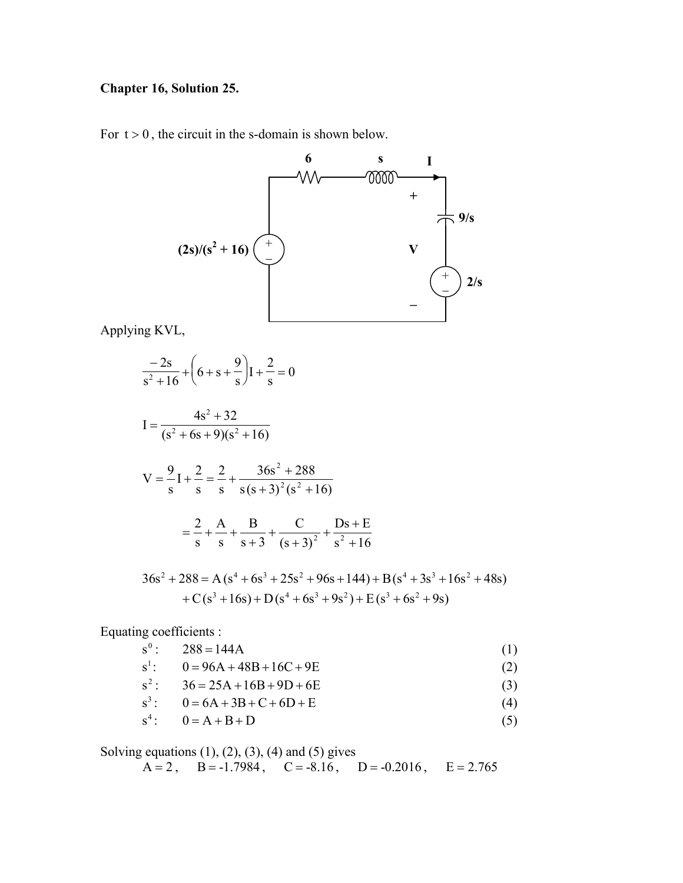#### **Chapter 16, Solution 25.**

For  $t > 0$ , the circuit in the s-domain is shown below.



Applying KVL,

$$
\frac{-2s}{s^2 + 16} + \left(6 + s + \frac{9}{s}\right)I + \frac{2}{s} = 0
$$
\n
$$
I = \frac{4s^2 + 32}{(s^2 + 6s + 9)(s^2 + 16)}
$$
\n
$$
V = \frac{9}{s}I + \frac{2}{s} = \frac{2}{s} + \frac{36s^2 + 288}{s(s + 3)^2(s^2 + 16)}
$$
\n
$$
= \frac{2}{s} + \frac{A}{s} + \frac{B}{s + 3} + \frac{C}{(s + 3)^2} + \frac{Ds + E}{s^2 + 16}
$$
\n
$$
36s^2 + 288 = A(s^4 + 6s^3 + 25s^2 + 96s + 144) + B(s^4 + 3s^3 + 16s^2 + 48s)
$$
\n
$$
+ C(s^3 + 16s) + D(s^4 + 6s^3 + 9s^2) + E(s^3 + 6s^2 + 9s)
$$

Equating coefficients :

$$
s^0: \t288 = 144A \t(1)
$$

$$
s1: 0 = 96A + 48B + 16C + 9E
$$
 (2)

$$
s^2: \t36 = 25A + 16B + 9D + 6E \t(3)
$$

$$
s3: 0 = 6A + 3B + C + 6D + E
$$
 (4)

$$
s4: 0 = A + B + D \tag{5}
$$

Solving equations  $(1)$ ,  $(2)$ ,  $(3)$ ,  $(4)$  and  $(5)$  gives  $A = 2$ ,  $B = -1.7984$ ,  $C = -8.16$ ,  $D = -0.2016$ ,  $E = 2.765$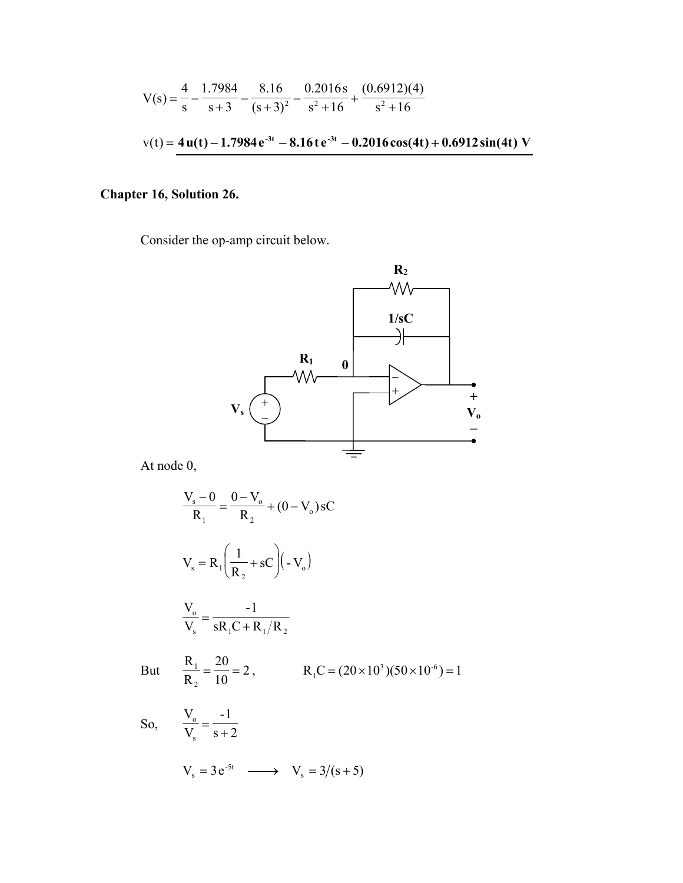$$
V(s) = \frac{4}{s} - \frac{1.7984}{s+3} - \frac{8.16}{(s+3)^2} - \frac{0.2016s}{s^2 + 16} + \frac{(0.6912)(4)}{s^2 + 16}
$$
  

$$
v(t) = 4u(t) - 1.7984e^{3t} - 8.16te^{3t} - 0.2016\cos(4t) + 0.6912\sin(4t) V
$$

## Chapter 16, Solution 26.

Consider the op-amp circuit below.



At node 0,

$$
\frac{V_s - 0}{R_1} = \frac{0 - V_o}{R_2} + (0 - V_o) sC
$$
  

$$
V_s = R_1 \left(\frac{1}{R_2} + sC\right) \left(-V_o\right)
$$
  

$$
\frac{V_o}{V_s} = \frac{-1}{sR_1C + R_1/R_2}
$$
  
But 
$$
\frac{R_1}{R_2} = \frac{20}{10} = 2, \qquad R_1C = (20 \times 10^3)(50 \times 10^{-6}) = 1
$$
  
So, 
$$
\frac{V_o}{V_s} = \frac{-1}{s + 2}
$$
  

$$
V_s = 3e^{-5t} \longrightarrow V_s = 3/(s + 5)
$$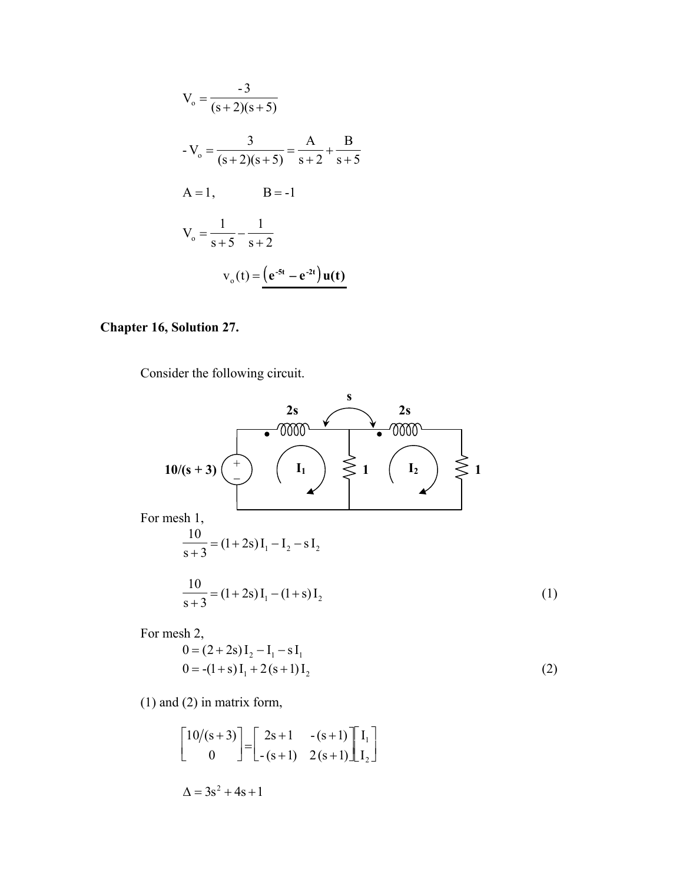$$
V_o = \frac{-3}{(s+2)(s+5)}
$$
  
\n
$$
-V_o = \frac{3}{(s+2)(s+5)} = \frac{A}{s+2} + \frac{B}{s+5}
$$
  
\nA = 1, \tB = -1  
\n
$$
V_o = \frac{1}{s+5} - \frac{1}{s+2}
$$
  
\n
$$
V_o(t) = \frac{e^{-5t} - e^{-2t} \, u(t)}{t}
$$

#### Chapter 16, Solution 27.

Consider the following circuit.



For mesh 2,

$$
0 = (2 + 2s)I_2 - I_1 - sI_1
$$
  
\n
$$
0 = -(1 + s)I_1 + 2(s + 1)I_2
$$
\n(2)

 $(1)$  and  $(2)$  in matrix form,

$$
\begin{bmatrix} 10/(s+3) \\ 0 \end{bmatrix} = \begin{bmatrix} 2s+1 & -(s+1) \\ -(s+1) & 2(s+1) \end{bmatrix} \begin{bmatrix} I_1 \\ I_2 \end{bmatrix}
$$

$$
\Delta = 3s^2 + 4s + 1
$$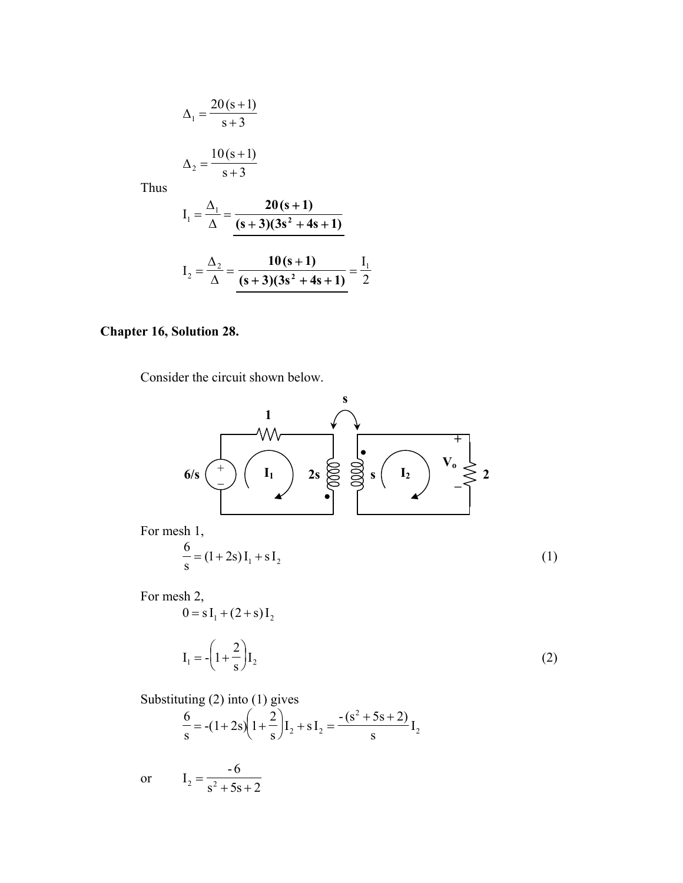$$
\Delta_1 = \frac{20(s+1)}{s+3}
$$

$$
\Delta_2 = \frac{10(s+1)}{s+3}
$$

Thus

$$
I_1 = \frac{\Delta_1}{\Delta} = \frac{20(s+1)}{(s+3)(3s^2+4s+1)}
$$

$$
I_2 = \frac{\Delta_2}{\Delta} = \frac{10(s+1)}{(s+3)(3s^2+4s+1)} = \frac{I_1}{2}
$$

#### **Chapter 16, Solution 28.**

Consider the circuit shown below.



Substituting  $(2)$  into  $(1)$  gives

$$
\frac{6}{s} = -(1+2s)\left(1+\frac{2}{s}\right)I_2 + sI_2 = \frac{-(s^2+5s+2)}{s}I_2
$$

 $I_2 = \frac{-6}{s^2 + 5s + 2}$  $\alpha$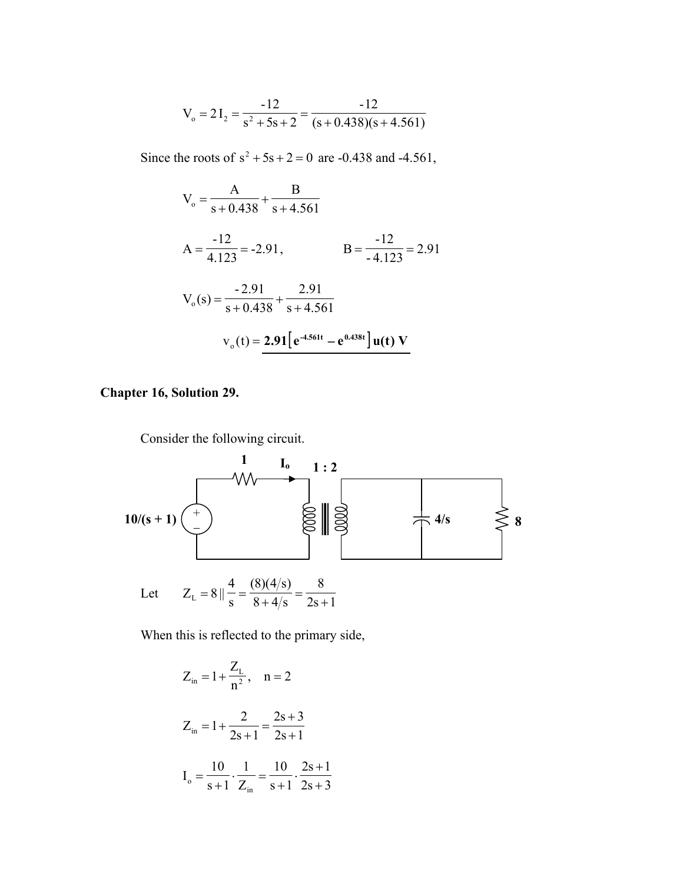$$
V_o = 2I_2 = \frac{-12}{s^2 + 5s + 2} = \frac{-12}{(s + 0.438)(s + 4.561)}
$$

Since the roots of  $s^2 + 5s + 2 = 0$  are -0.438 and -4.561,

$$
V_o = \frac{A}{s + 0.438} + \frac{B}{s + 4.561}
$$
  
\n
$$
A = \frac{-12}{4.123} = -2.91,
$$
  
\n
$$
B = \frac{-12}{-4.123} = 2.91
$$
  
\n
$$
V_o(s) = \frac{-2.91}{s + 0.438} + \frac{2.91}{s + 4.561}
$$
  
\n
$$
v_o(t) = 2.91[e^{4.561t} - e^{0.438t}]u(t) V
$$

#### **Chapter 16, Solution 29.**

Consider the following circuit.



When this is reflected to the primary side,

$$
Z_{in} = 1 + \frac{Z_{L}}{n^{2}}, \quad n = 2
$$
  

$$
Z_{in} = 1 + \frac{2}{2s + 1} = \frac{2s + 3}{2s + 1}
$$
  

$$
I_{o} = \frac{10}{s + 1} \cdot \frac{1}{Z_{in}} = \frac{10}{s + 1} \cdot \frac{2s + 1}{2s + 3}
$$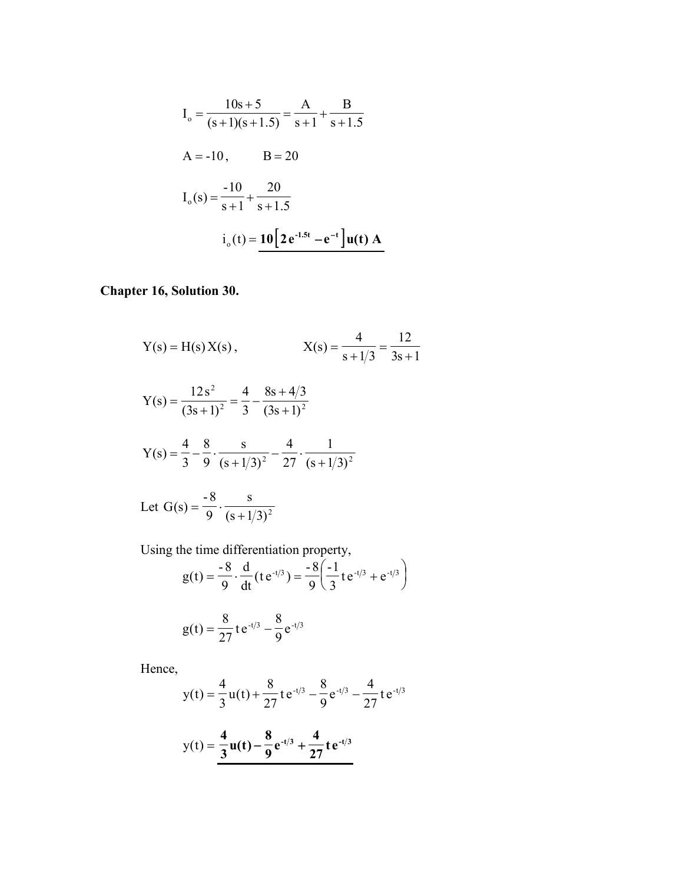$$
I_o = \frac{10s + 5}{(s + 1)(s + 1.5)} = \frac{A}{s + 1} + \frac{B}{s + 1.5}
$$
  
A = -10, B = 20  

$$
I_o(s) = \frac{-10}{s + 1} + \frac{20}{s + 1.5}
$$

$$
i_o(t) = 10[2e^{-1.5t} - e^{-t}]u(t) A
$$

# Chapter 16, Solution 30.

Y(s) = H(s) X(s),  
\n
$$
X(s) = \frac{4}{s + 1/3} = \frac{12}{3s + 1}
$$
\n
$$
Y(s) = \frac{12s^{2}}{(3s + 1)^{2}} = \frac{4}{3} - \frac{8s + 4/3}{(3s + 1)^{2}}
$$
\n
$$
Y(s) = \frac{4}{3} - \frac{8}{9} \cdot \frac{s}{(s + 1/3)^{2}} - \frac{4}{27} \cdot \frac{1}{(s + 1/3)^{2}}
$$
\nLet G(s) =  $\frac{-8}{9} \cdot \frac{s}{(s + 1/3)^{2}}$ 

Using the time differentiation property,

$$
g(t) = \frac{-8}{9} \cdot \frac{d}{dt} (t e^{-t/3}) = \frac{-8}{9} \left( \frac{-1}{3} t e^{-t/3} + e^{-t/3} \right)
$$

$$
g(t) = \frac{8}{27} t e^{-t/3} - \frac{8}{9} e^{-t/3}
$$

Hence,

$$
y(t) = \frac{4}{3}u(t) + \frac{8}{27}te^{-t/3} - \frac{8}{9}e^{-t/3} - \frac{4}{27}te^{-t/3}
$$

$$
y(t) = \frac{4}{3}u(t) - \frac{8}{9}e^{-t/3} + \frac{4}{27}te^{-t/3}
$$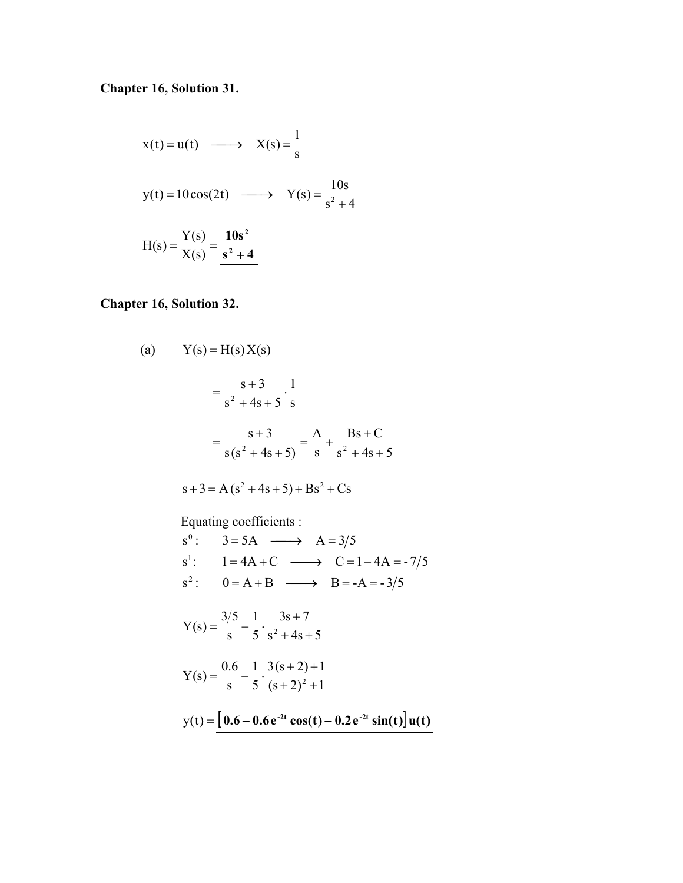## **Chapter 16, Solution 31.**

$$
x(t) = u(t) \longrightarrow X(s) = \frac{1}{s}
$$
  

$$
y(t) = 10 \cos(2t) \longrightarrow Y(s) = \frac{10s}{s^2 + 4}
$$
  

$$
H(s) = \frac{Y(s)}{X(s)} = \frac{10s^2}{s^2 + 4}
$$

## **Chapter 16, Solution 32.**

(a) 
$$
Y(s) = H(s) X(s)
$$
  
\n
$$
= \frac{s+3}{s^2 + 4s + 5} \cdot \frac{1}{s}
$$
  
\n
$$
= \frac{s+3}{s(s^2 + 4s + 5)} = \frac{A}{s} + \frac{Bs + C}{s^2 + 4s + 5}
$$
  
\n
$$
s+3 = A(s^2 + 4s + 5) + Bs^2 + Cs
$$
  
\nEquating coefficients :  
\n
$$
s^0: 3 = 5A \longrightarrow A = 3/5
$$
  
\n
$$
s^1: 1 = 4A + C \longrightarrow C = 1 - 4A = -7/5
$$
  
\n
$$
s^2: 0 = A + B \longrightarrow B = -A = -3/5
$$
  
\n
$$
Y(s) = \frac{3/5}{s} - \frac{1}{5} \cdot \frac{3s + 7}{s^2 + 4s + 5}
$$
  
\n
$$
Y(s) = \frac{0.6}{s} - \frac{1}{5} \cdot \frac{3(s+2) + 1}{(s+2)^2 + 1}
$$
  
\n
$$
y(t) = \frac{[0.6 - 0.6e^{2t} \cos(t) - 0.2e^{2t} \sin(t)] u(t)
$$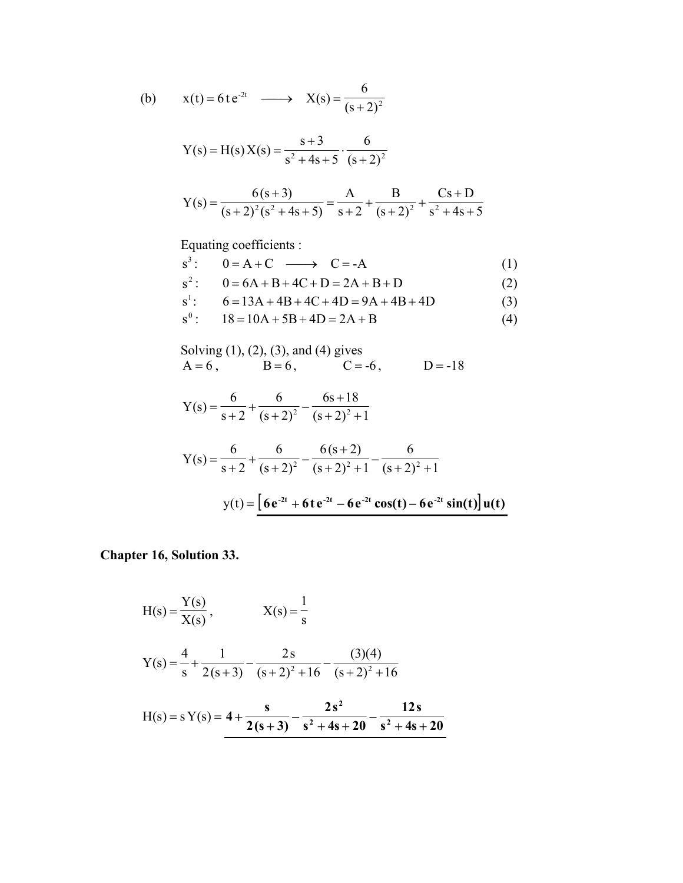(b) 
$$
x(t) = 6te^{-2t} \longrightarrow X(s) = \frac{6}{(s+2)^2}
$$

Y(s) = H(s) X(s) = 
$$
\frac{s+3}{s^2 + 4s + 5} \cdot \frac{6}{(s+2)^2}
$$

$$
Y(s) = \frac{6(s+3)}{(s+2)^2(s^2+4s+5)} = \frac{A}{s+2} + \frac{B}{(s+2)^2} + \frac{Cs+D}{s^2+4s+5}
$$

Equating coefficients :

$$
s3: 0 = A + C \longrightarrow C = -A
$$
 (1)

$$
s2: 0 = 6A + B + 4C + D = 2A + B + D
$$
 (2)

$$
s1: 6 = 13A + 4B + 4C + 4D = 9A + 4B + 4D
$$
 (3)

$$
s^{0}: \t18 = 10A + 5B + 4D = 2A + B \t(4)
$$

Solving (1), (2), (3), and (4) gives A = 6 , B = 6 , C = -6 , D = -18

$$
Y(s) = \frac{6}{s+2} + \frac{6}{(s+2)^2} - \frac{6s+18}{(s+2)^2+1}
$$

Y(s) = 
$$
\frac{6}{s+2} + \frac{6}{(s+2)^2} - \frac{6(s+2)}{(s+2)^2 + 1} - \frac{6}{(s+2)^2 + 1}
$$
  
y(t) =  $\frac{6}{s+2} + 6te^{-2t} - 6e^{-2t}\cos(t) - 6e^{-2t}\sin(t)\frac{du}{dt}$ 

**Chapter 16, Solution 33.** 

$$
H(s) = \frac{Y(s)}{X(s)}, \qquad X(s) = \frac{1}{s}
$$
  

$$
Y(s) = \frac{4}{s} + \frac{1}{2(s+3)} - \frac{2s}{(s+2)^2 + 16} - \frac{(3)(4)}{(s+2)^2 + 16}
$$
  

$$
H(s) = sY(s) = 4 + \frac{s}{2(s+3)} - \frac{2s^2}{s^2 + 4s + 20} - \frac{12s}{s^2 + 4s + 20}
$$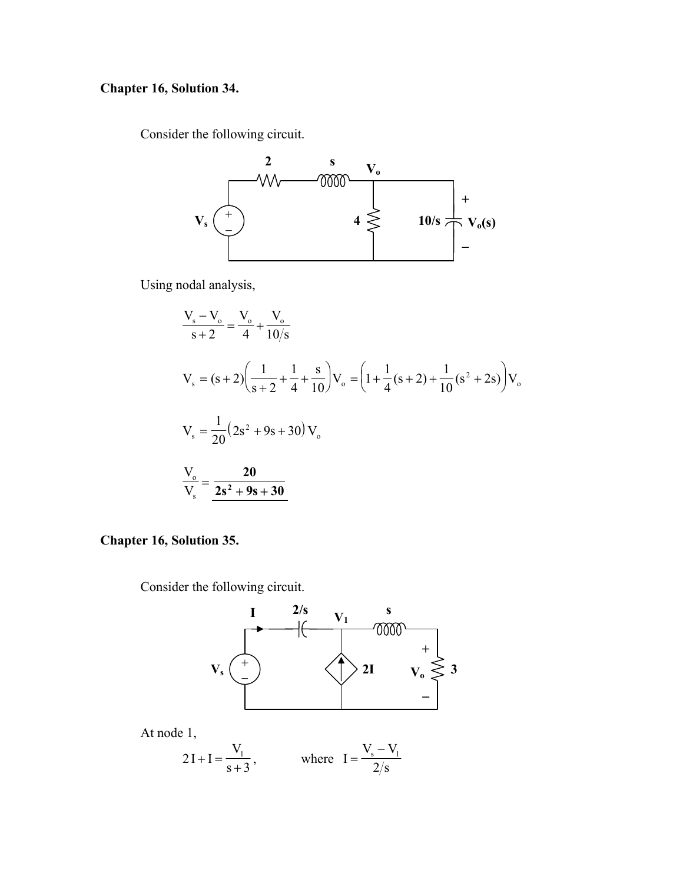## **Chapter 16, Solution 34.**

Consider the following circuit.



Using nodal analysis,

$$
\frac{V_s - V_o}{s + 2} = \frac{V_o}{4} + \frac{V_o}{10/s}
$$
  
\n
$$
V_s = (s + 2) \left( \frac{1}{s + 2} + \frac{1}{4} + \frac{s}{10} \right) V_o = \left( 1 + \frac{1}{4} (s + 2) + \frac{1}{10} (s^2 + 2s) \right) V_o
$$
  
\n
$$
V_s = \frac{1}{20} (2s^2 + 9s + 30) V_o
$$
  
\n
$$
\frac{V_o}{V_s} = \frac{20}{2s^2 + 9s + 30}
$$

#### **Chapter 16, Solution 35.**

Consider the following circuit.





$$
2I + I = \frac{V_1}{s+3}
$$
, where  $I = \frac{V_s - V_1}{2/s}$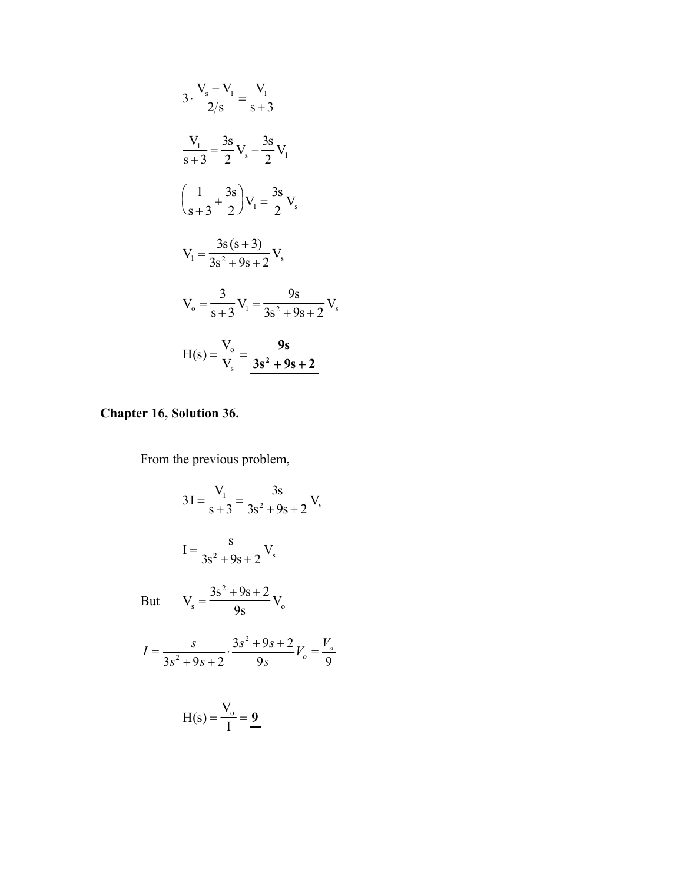$$
3 \cdot \frac{V_s - V_1}{2/s} = \frac{V_1}{s+3}
$$
  

$$
\frac{V_1}{s+3} = \frac{3s}{2} V_s - \frac{3s}{2} V_1
$$
  

$$
\left(\frac{1}{s+3} + \frac{3s}{2}\right) V_1 = \frac{3s}{2} V_s
$$
  

$$
V_1 = \frac{3s(s+3)}{3s^2 + 9s + 2} V_s
$$
  

$$
V_o = \frac{3}{s+3} V_1 = \frac{9s}{3s^2 + 9s + 2} V_s
$$
  

$$
H(s) = \frac{V_o}{V_s} = \frac{9s}{3s^2 + 9s + 2}
$$

# Chapter 16, Solution 36.

From the previous problem,

$$
3I = \frac{V_1}{s+3} = \frac{3s}{3s^2 + 9s + 2} V_s
$$
  
\n
$$
I = \frac{s}{3s^2 + 9s + 2} V_s
$$
  
\nBut 
$$
V_s = \frac{3s^2 + 9s + 2}{9s} V_o
$$
  
\n
$$
I = \frac{s}{3s^2 + 9s + 2} \cdot \frac{3s^2 + 9s + 2}{9s} V_o = \frac{V_o}{9}
$$
  
\n
$$
H(s) = \frac{V_o}{I} = \frac{9}{1}
$$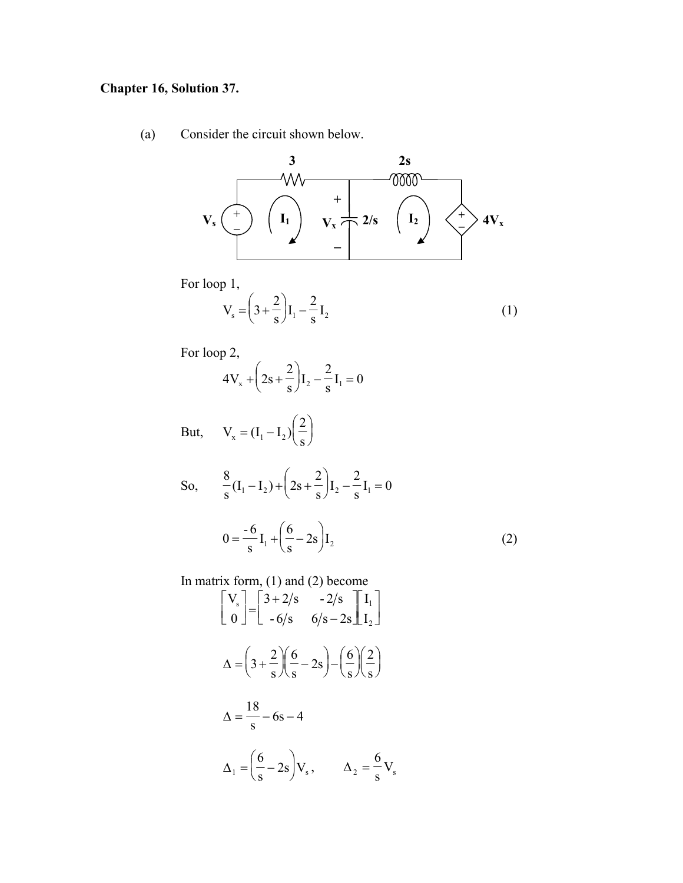#### **Chapter 16, Solution 37.**

Consider the circuit shown below.  $(a)$ 



For loop 1,

$$
V_s = \left(3 + \frac{2}{s}\right)I_1 - \frac{2}{s}I_2\tag{1}
$$

For loop 2,

$$
4V_x + \left(2s + \frac{2}{s}\right)I_2 - \frac{2}{s}I_1 = 0
$$

But,  $V_x = (I_1 - I_2) \left(\frac{2}{s}\right)$ 

So, 
$$
\frac{8}{s}(I_1 - I_2) + (2s + \frac{2}{s})I_2 - \frac{2}{s}I_1 = 0
$$
  

$$
0 = \frac{-6}{s}I_1 + (\frac{6}{s} - 2s)I_2
$$
(2)

In matrix form, (1) and (2) become<br>  $\begin{bmatrix} V_s \\ 0 \end{bmatrix} = \begin{bmatrix} 3+2/s & -2/s \\ -6/s & 6/s - 2s \end{bmatrix} \begin{bmatrix} I_1 \\ I_2 \end{bmatrix}$  $\Delta = \left(3 + \frac{2}{s}\right)\left(\frac{6}{s} - 2s\right) - \left(\frac{6}{s}\right)\left(\frac{2}{s}\right)$  $\Delta = \frac{18}{s} - 6s - 4$  $\Delta_1 = \left(\frac{6}{s} - 2s\right) V_s, \qquad \Delta_2 = \frac{6}{s} V_s$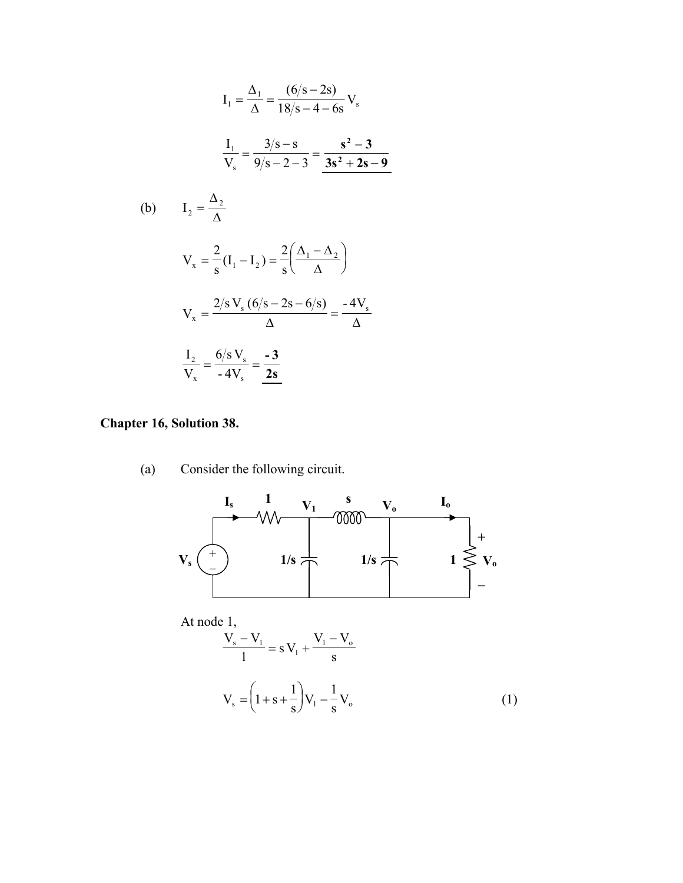$$
I_1 = \frac{\Delta_1}{\Delta} = \frac{(6/s - 2s)}{18/s - 4 - 6s} V_s
$$
  

$$
\frac{I_1}{V_s} = \frac{3/s - s}{9/s - 2 - 3} = \frac{s^2 - 3}{3s^2 + 2s - 9}
$$
  
(b) 
$$
I_2 = \frac{\Delta_2}{\Delta}
$$
  

$$
V_x = \frac{2}{s} (I_1 - I_2) = \frac{2}{s} \left( \frac{\Delta_1 - \Delta_2}{\Delta} \right)
$$
  

$$
V_x = \frac{2/s V_s (6/s - 2s - 6/s)}{\Delta} = \frac{-4V_s}{\Delta}
$$
  

$$
\frac{I_2}{V_x} = \frac{6/s V_s}{-4V_s} = \frac{-3}{2s}
$$

### **Chapter 16, Solution 38.**

(a) Consider the following circuit.



At node 1,

$$
\frac{V_s - V_l}{1} = s V_l + \frac{V_l - V_o}{s}
$$
  

$$
V_s = \left(1 + s + \frac{1}{s}\right) V_l - \frac{1}{s} V_o
$$
 (1)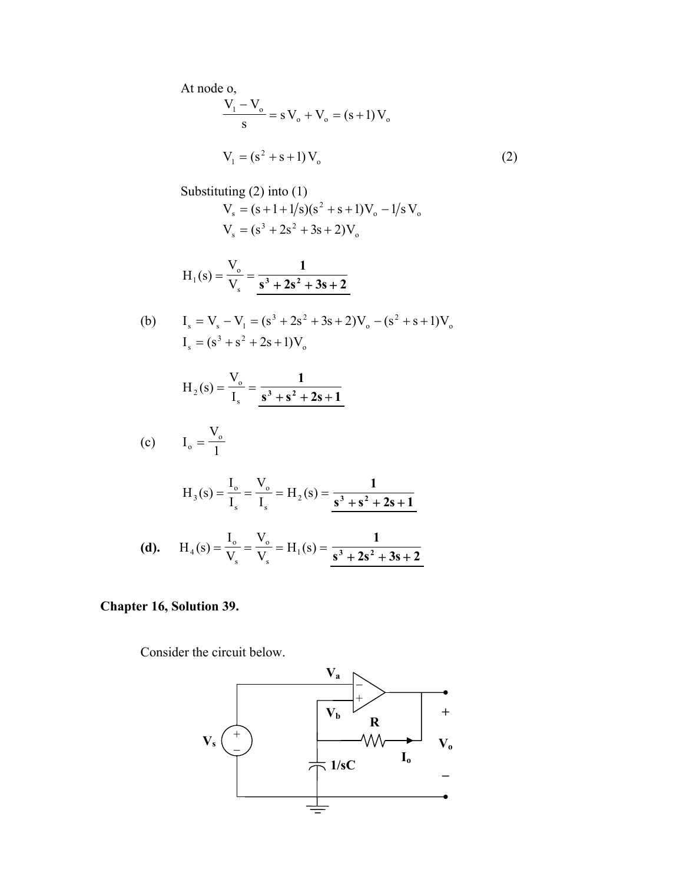At node o,  $\frac{1}{s}$  = sV<sub>o</sub> + V<sub>o</sub> = (s + 1)V<sub>o</sub> s  $\frac{V_1 - V_0}{V_0} = s V_0 + V_0 = (s +$  $V_1 = (s^2 + s + 1)V_0$  (2)

Substituting (2) into (1)  
\n
$$
V_s = (s+1+1/s)(s^2 + s+1)V_o - 1/s V_o
$$
\n
$$
V_s = (s^3 + 2s^2 + 3s + 2)V_o
$$
\n
$$
H_1(s) = \frac{V_o}{V_s} = \frac{1}{s^3 + 2s^2 + 3s + 2}
$$
\n(b) 
$$
I_s = V_s - V_1 = (s^3 + 2s^2 + 3s + 2)V_o - (s^2 + s + 1)V_o
$$
\n
$$
I_s = (s^3 + s^2 + 2s + 1)V_o
$$
\n
$$
H_2(s) = \frac{V_o}{I_s} = \frac{1}{s^3 + s^2 + 2s + 1}
$$
\n(c) 
$$
I_o = \frac{V_o}{1}
$$
\n
$$
V_o = V_o
$$

$$
H_3(s) = \frac{V_0}{I_s} = \frac{V_0}{I_s} = H_2(s) = \frac{1}{s^3 + s^2 + 2s + 1}
$$

(d). 
$$
H_4(s) = \frac{V_0}{V_s} = \frac{V_0}{V_s} = H_1(s) = \frac{1}{s^3 + 2s^2 + 3s + 2}
$$

#### **Chapter 16, Solution 39.**

Consider the circuit below.

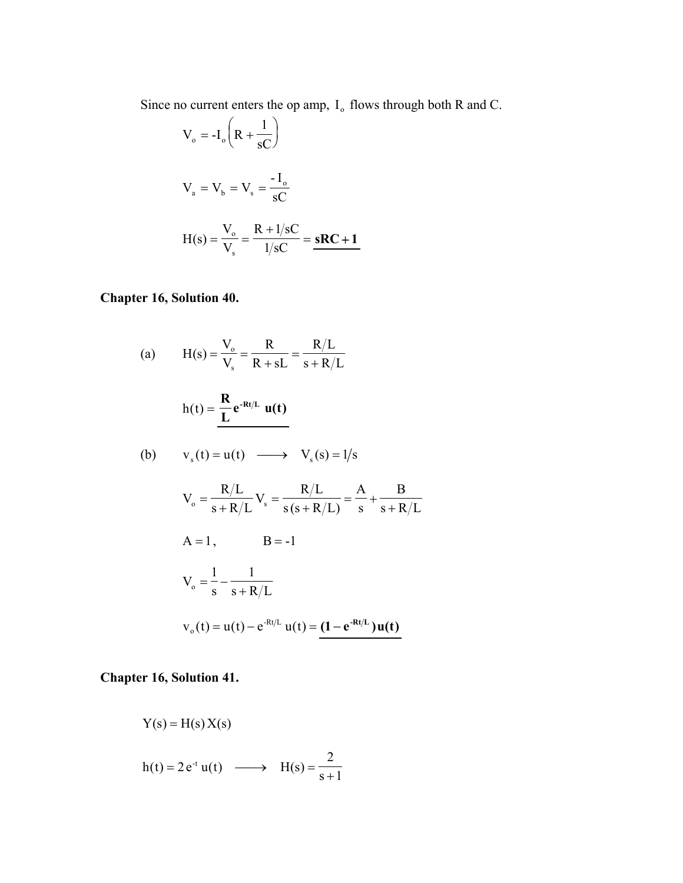Since no current enters the op amp,  $I_0$  flows through both R and C.

$$
V_o = -I_o \left(R + \frac{1}{sC}\right)
$$
  

$$
V_a = V_b = V_s = \frac{-I_o}{sC}
$$
  

$$
H(s) = \frac{V_o}{V_s} = \frac{R + 1/sC}{1/sC} = sRC + 1
$$

## **Chapter 16, Solution 40.**

(a) 
$$
H(s) = \frac{V_o}{V_s} = \frac{R}{R + sL} = \frac{R/L}{s + R/L}
$$
  
\n $h(t) = \frac{R}{L} e^{-Rt/L} u(t)$   
\n(b)  $v_s(t) = u(t) \longrightarrow V_s(s) = 1/s$   
\n $V_o = \frac{R/L}{s + R/L} V_s = \frac{R/L}{s(s + R/L)} = \frac{A}{s} + \frac{B}{s + R/L}$   
\n $A = 1, \qquad B = -1$   
\n $V_o = \frac{1}{s} - \frac{1}{s + R/L}$   
\n $v_o(t) = u(t) - e^{-Rt/L} u(t) = (1 - e^{-Rt/L}) u(t)$ 

# **Chapter 16, Solution 41.**

$$
Y(s) = H(s) X(s)
$$
  
h(t) = 2 e<sup>-t</sup> u(t)  $\longrightarrow$  H(s) =  $\frac{2}{s+1}$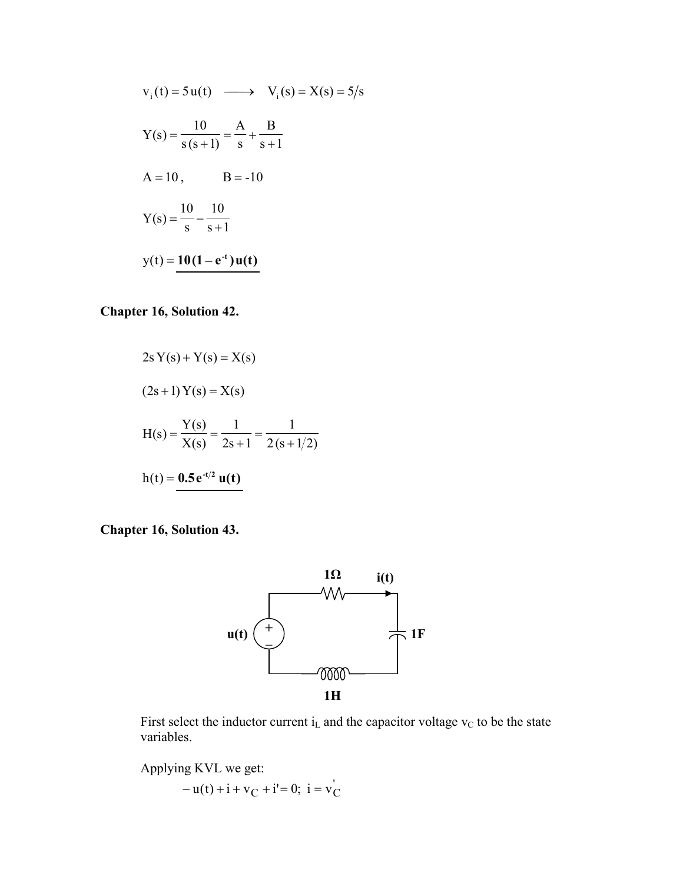$$
v_{i}(t) = 5u(t) \longrightarrow V_{i}(s) = X(s) = 5/s
$$
  
\n
$$
Y(s) = \frac{10}{s(s+1)} = \frac{A}{s} + \frac{B}{s+1}
$$
  
\n
$$
A = 10, \qquad B = -10
$$
  
\n
$$
Y(s) = \frac{10}{s} - \frac{10}{s+1}
$$
  
\n
$$
y(t) = 10(1 - e^{-t})u(t)
$$

#### **Chapter 16, Solution 42.**

$$
2s Y(s) + Y(s) = X(s)
$$
  
(2s + 1) Y(s) = X(s)  
H(s) =  $\frac{Y(s)}{X(s)} = \frac{1}{2s + 1} = \frac{1}{2(s + 1/2)}$   
h(t) = 0.5e<sup>-t/2</sup> u(t)

**Chapter 16, Solution 43.** 



First select the inductor current  $i<sub>L</sub>$  and the capacitor voltage  $v<sub>C</sub>$  to be the state variables.

Applying KVL we get:  $- u(t) + i + v_C + i' = 0; i = v_C'$